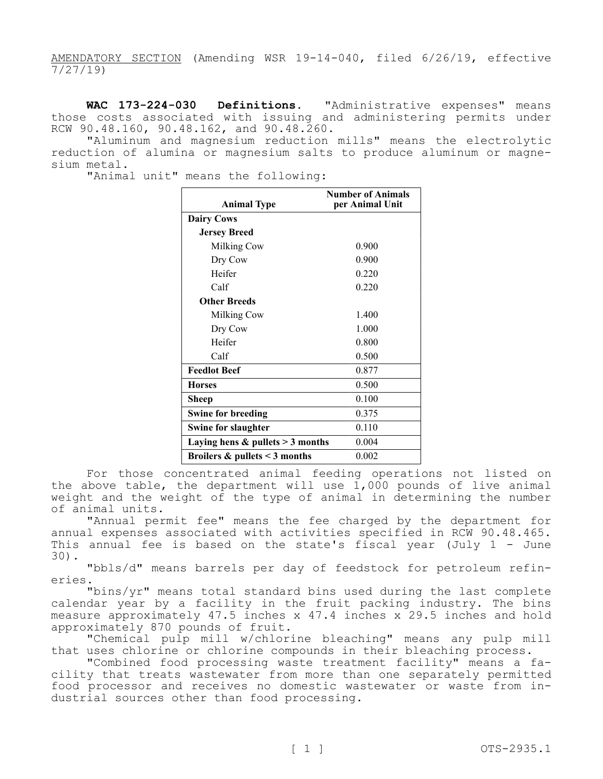AMENDATORY SECTION (Amending WSR 19-14-040, filed 6/26/19, effective 7/27/19)

**WAC 173-224-030 Definitions.** "Administrative expenses" means those costs associated with issuing and administering permits under RCW 90.48.160, 90.48.162, and 90.48.260.

"Aluminum and magnesium reduction mills" means the electrolytic reduction of alumina or magnesium salts to produce aluminum or magnesium metal.

"Animal unit" means the following:

| <b>Animal Type</b>                   | <b>Number of Animals</b><br>per Animal Unit |
|--------------------------------------|---------------------------------------------|
| <b>Dairy Cows</b>                    |                                             |
| <b>Jersey Breed</b>                  |                                             |
| Milking Cow                          | 0.900                                       |
| Dry Cow                              | 0.900                                       |
| Heifer                               | 0.220                                       |
| Calf                                 | 0.220                                       |
| <b>Other Breeds</b>                  |                                             |
| Milking Cow                          | 1.400                                       |
| Dry Cow                              | 1.000                                       |
| Heifer                               | 0.800                                       |
| Calf                                 | 0.500                                       |
| <b>Feedlot Beef</b>                  | 0.877                                       |
| <b>Horses</b>                        | 0.500                                       |
| Sheep                                | 0.100                                       |
| <b>Swine for breeding</b>            | 0.375                                       |
| <b>Swine for slaughter</b>           | 0.110                                       |
| Laying hens $&$ pullets $>$ 3 months | 0.004                                       |
| Broilers $\&$ pullets < 3 months     | 0.002                                       |

For those concentrated animal feeding operations not listed on the above table, the department will use 1,000 pounds of live animal weight and the weight of the type of animal in determining the number of animal units.

"Annual permit fee" means the fee charged by the department for annual expenses associated with activities specified in RCW 90.48.465. This annual fee is based on the state's fiscal year (July 1 - June 30).

"bbls/d" means barrels per day of feedstock for petroleum refineries.

"bins/yr" means total standard bins used during the last complete calendar year by a facility in the fruit packing industry. The bins measure approximately 47.5 inches x 47.4 inches x 29.5 inches and hold approximately 870 pounds of fruit.

"Chemical pulp mill w/chlorine bleaching" means any pulp mill that uses chlorine or chlorine compounds in their bleaching process.

"Combined food processing waste treatment facility" means a facility that treats wastewater from more than one separately permitted food processor and receives no domestic wastewater or waste from industrial sources other than food processing.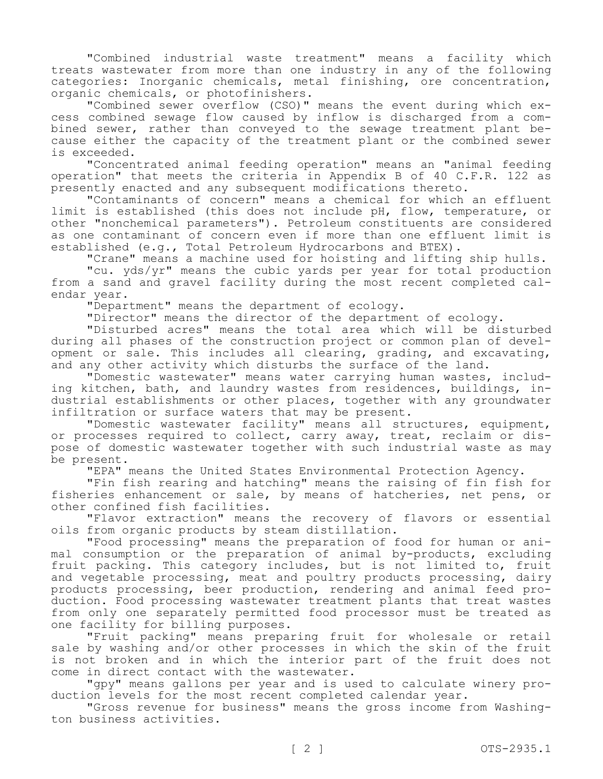"Combined industrial waste treatment" means a facility which treats wastewater from more than one industry in any of the following categories: Inorganic chemicals, metal finishing, ore concentration, organic chemicals, or photofinishers.

"Combined sewer overflow (CSO)" means the event during which excess combined sewage flow caused by inflow is discharged from a combined sewer, rather than conveyed to the sewage treatment plant because either the capacity of the treatment plant or the combined sewer is exceeded.

"Concentrated animal feeding operation" means an "animal feeding operation" that meets the criteria in Appendix B of 40 C.F.R. 122 as presently enacted and any subsequent modifications thereto.

"Contaminants of concern" means a chemical for which an effluent limit is established (this does not include pH, flow, temperature, or other "nonchemical parameters"). Petroleum constituents are considered as one contaminant of concern even if more than one effluent limit is established (e.g., Total Petroleum Hydrocarbons and BTEX).

"Crane" means a machine used for hoisting and lifting ship hulls.

"cu. yds/yr" means the cubic yards per year for total production from a sand and gravel facility during the most recent completed calendar year.

"Department" means the department of ecology.

"Director" means the director of the department of ecology.

"Disturbed acres" means the total area which will be disturbed during all phases of the construction project or common plan of development or sale. This includes all clearing, grading, and excavating, and any other activity which disturbs the surface of the land.

"Domestic wastewater" means water carrying human wastes, including kitchen, bath, and laundry wastes from residences, buildings, industrial establishments or other places, together with any groundwater infiltration or surface waters that may be present.

"Domestic wastewater facility" means all structures, equipment, or processes required to collect, carry away, treat, reclaim or dispose of domestic wastewater together with such industrial waste as may be present.

"EPA" means the United States Environmental Protection Agency.

"Fin fish rearing and hatching" means the raising of fin fish for fisheries enhancement or sale, by means of hatcheries, net pens, or other confined fish facilities.

"Flavor extraction" means the recovery of flavors or essential oils from organic products by steam distillation.

"Food processing" means the preparation of food for human or animal consumption or the preparation of animal by-products, excluding fruit packing. This category includes, but is not limited to, fruit and vegetable processing, meat and poultry products processing, dairy products processing, beer production, rendering and animal feed production. Food processing wastewater treatment plants that treat wastes from only one separately permitted food processor must be treated as one facility for billing purposes.

"Fruit packing" means preparing fruit for wholesale or retail sale by washing and/or other processes in which the skin of the fruit is not broken and in which the interior part of the fruit does not come in direct contact with the wastewater.

"gpy" means gallons per year and is used to calculate winery production levels for the most recent completed calendar year.

"Gross revenue for business" means the gross income from Washington business activities.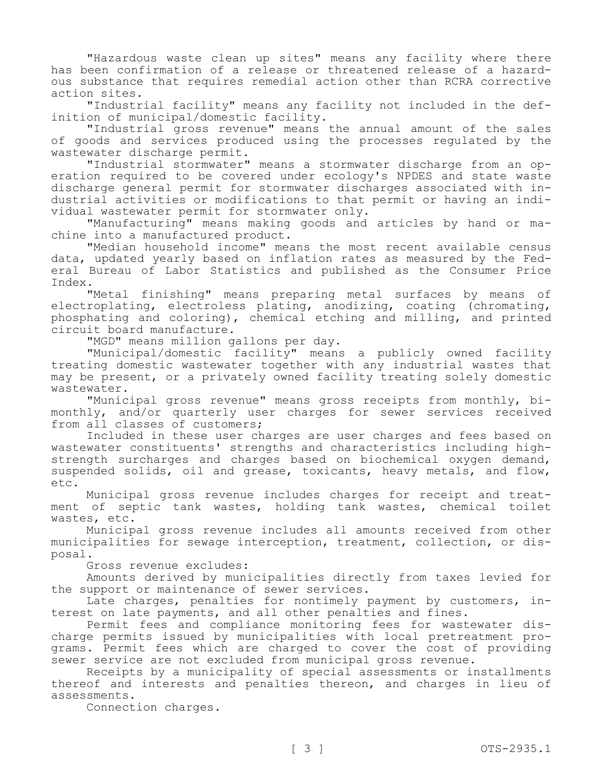"Hazardous waste clean up sites" means any facility where there has been confirmation of a release or threatened release of a hazardous substance that requires remedial action other than RCRA corrective action sites.

"Industrial facility" means any facility not included in the definition of municipal/domestic facility.

"Industrial gross revenue" means the annual amount of the sales of goods and services produced using the processes regulated by the wastewater discharge permit.

"Industrial stormwater" means a stormwater discharge from an operation required to be covered under ecology's NPDES and state waste discharge general permit for stormwater discharges associated with industrial activities or modifications to that permit or having an individual wastewater permit for stormwater only.

"Manufacturing" means making goods and articles by hand or machine into a manufactured product.

"Median household income" means the most recent available census data, updated yearly based on inflation rates as measured by the Federal Bureau of Labor Statistics and published as the Consumer Price Index.

"Metal finishing" means preparing metal surfaces by means of electroplating, electroless plating, anodizing, coating (chromating, phosphating and coloring), chemical etching and milling, and printed circuit board manufacture.

"MGD" means million gallons per day.

"Municipal/domestic facility" means a publicly owned facility treating domestic wastewater together with any industrial wastes that may be present, or a privately owned facility treating solely domestic wastewater.

"Municipal gross revenue" means gross receipts from monthly, bimonthly, and/or quarterly user charges for sewer services received from all classes of customers;

Included in these user charges are user charges and fees based on wastewater constituents' strengths and characteristics including highstrength surcharges and charges based on biochemical oxygen demand, suspended solids, oil and grease, toxicants, heavy metals, and flow, etc.

Municipal gross revenue includes charges for receipt and treatment of septic tank wastes, holding tank wastes, chemical toilet wastes, etc.

Municipal gross revenue includes all amounts received from other municipalities for sewage interception, treatment, collection, or disposal.

Gross revenue excludes:

Amounts derived by municipalities directly from taxes levied for the support or maintenance of sewer services.

Late charges, penalties for nontimely payment by customers, interest on late payments, and all other penalties and fines.

Permit fees and compliance monitoring fees for wastewater discharge permits issued by municipalities with local pretreatment programs. Permit fees which are charged to cover the cost of providing sewer service are not excluded from municipal gross revenue.

Receipts by a municipality of special assessments or installments thereof and interests and penalties thereon, and charges in lieu of assessments.

Connection charges.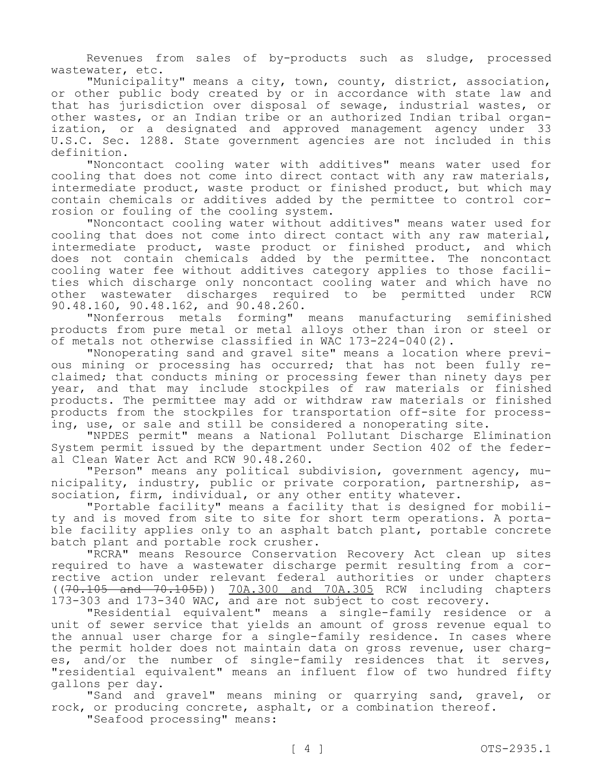Revenues from sales of by-products such as sludge, processed wastewater, etc.

"Municipality" means a city, town, county, district, association, or other public body created by or in accordance with state law and that has jurisdiction over disposal of sewage, industrial wastes, or other wastes, or an Indian tribe or an authorized Indian tribal organization, or a designated and approved management agency under 33 U.S.C. Sec. 1288. State government agencies are not included in this definition.

"Noncontact cooling water with additives" means water used for cooling that does not come into direct contact with any raw materials, intermediate product, waste product or finished product, but which may contain chemicals or additives added by the permittee to control corrosion or fouling of the cooling system.

"Noncontact cooling water without additives" means water used for cooling that does not come into direct contact with any raw material, intermediate product, waste product or finished product, and which does not contain chemicals added by the permittee. The noncontact cooling water fee without additives category applies to those facilities which discharge only noncontact cooling water and which have no other wastewater discharges required to be permitted under RCW 90.48.160, 90.48.162, and 90.48.260.

"Nonferrous metals forming" means manufacturing semifinished products from pure metal or metal alloys other than iron or steel or of metals not otherwise classified in WAC 173-224-040(2).

"Nonoperating sand and gravel site" means a location where previous mining or processing has occurred; that has not been fully reclaimed; that conducts mining or processing fewer than ninety days per year, and that may include stockpiles of raw materials or finished products. The permittee may add or withdraw raw materials or finished products from the stockpiles for transportation off-site for processing, use, or sale and still be considered a nonoperating site.

"NPDES permit" means a National Pollutant Discharge Elimination System permit issued by the department under Section 402 of the federal Clean Water Act and RCW 90.48.260.

"Person" means any political subdivision, government agency, municipality, industry, public or private corporation, partnership, association, firm, individual, or any other entity whatever.

"Portable facility" means a facility that is designed for mobility and is moved from site to site for short term operations. A portable facility applies only to an asphalt batch plant, portable concrete batch plant and portable rock crusher.

"RCRA" means Resource Conservation Recovery Act clean up sites required to have a wastewater discharge permit resulting from a corrective action under relevant federal authorities or under chapters ((70.105 and 70.105D)) 70A.300 and 70A.305 RCW including chapters 173-303 and 173-340 WAC, and are not subject to cost recovery.

"Residential equivalent" means a single-family residence or a unit of sewer service that yields an amount of gross revenue equal to the annual user charge for a single-family residence. In cases where the permit holder does not maintain data on gross revenue, user charges, and/or the number of single-family residences that it serves, "residential equivalent" means an influent flow of two hundred fifty gallons per day.

"Sand and gravel" means mining or quarrying sand, gravel, or rock, or producing concrete, asphalt, or a combination thereof.

"Seafood processing" means: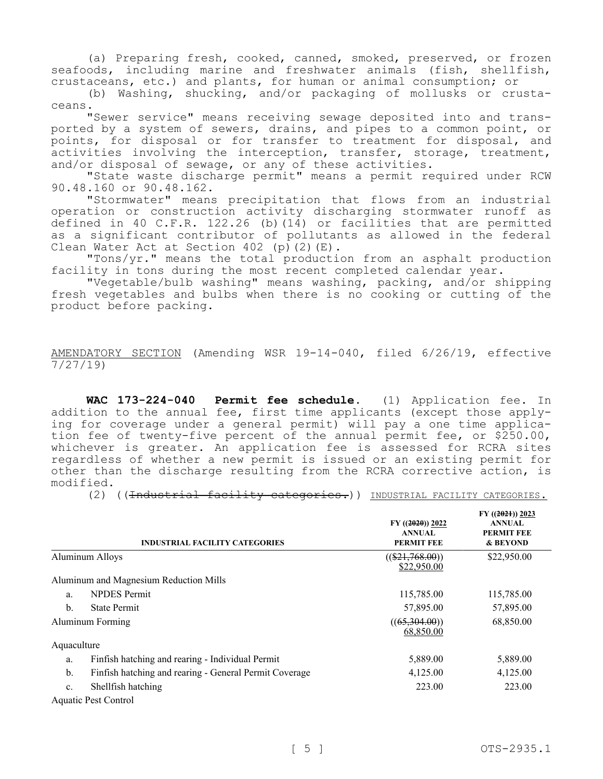(a) Preparing fresh, cooked, canned, smoked, preserved, or frozen seafoods, including marine and freshwater animals (fish, shellfish, crustaceans, etc.) and plants, for human or animal consumption; or

(b) Washing, shucking, and/or packaging of mollusks or crustaceans.

"Sewer service" means receiving sewage deposited into and transported by a system of sewers, drains, and pipes to a common point, or points, for disposal or for transfer to treatment for disposal, and activities involving the interception, transfer, storage, treatment, and/or disposal of sewage, or any of these activities.

"State waste discharge permit" means a permit required under RCW 90.48.160 or 90.48.162.

"Stormwater" means precipitation that flows from an industrial operation or construction activity discharging stormwater runoff as defined in 40 C.F.R. 122.26 (b)(14) or facilities that are permitted as a significant contributor of pollutants as allowed in the federal Clean Water Act at Section 402 (p)(2)(E).

"Tons/yr." means the total production from an asphalt production facility in tons during the most recent completed calendar year.

"Vegetable/bulb washing" means washing, packing, and/or shipping fresh vegetables and bulbs when there is no cooking or cutting of the product before packing.

AMENDATORY SECTION (Amending WSR 19-14-040, filed 6/26/19, effective 7/27/19)

**WAC 173-224-040 Permit fee schedule.** (1) Application fee. In addition to the annual fee, first time applicants (except those applying for coverage under a general permit) will pay a one time application fee of twenty-five percent of the annual permit fee, or \$250.00, whichever is greater. An application fee is assessed for RCRA sites regardless of whether a new permit is issued or an existing permit for other than the discharge resulting from the RCRA corrective action, is modified.

(2) ((<del>Industrial facility categories.</del>)) INDUSTRIAL FACILITY CATEGORIES.

|             | <b>INDUSTRIAL FACILITY CATEGORIES</b>                  | $FY$ ((2020)) 2022<br><b>ANNUAL</b><br><b>PERMIT FEE</b> | FY $((2021))$ 2023<br><b>ANNUAL</b><br><b>PERMIT FEE</b><br>& BEYOND |
|-------------|--------------------------------------------------------|----------------------------------------------------------|----------------------------------------------------------------------|
|             | Aluminum Alloys                                        | $((\$21,768.00))$<br>\$22,950.00                         | \$22,950.00                                                          |
|             | Aluminum and Magnesium Reduction Mills                 |                                                          |                                                                      |
| a.          | <b>NPDES</b> Permit                                    | 115,785.00                                               | 115,785.00                                                           |
| $b$         | <b>State Permit</b>                                    | 57,895.00                                                | 57,895.00                                                            |
|             | Aluminum Forming                                       | ((65,304.00))<br>68,850.00                               | 68,850.00                                                            |
| Aquaculture |                                                        |                                                          |                                                                      |
| a.          | Finfish hatching and rearing - Individual Permit       | 5,889.00                                                 | 5,889.00                                                             |
| b.          | Finfish hatching and rearing - General Permit Coverage | 4,125.00                                                 | 4,125.00                                                             |
| c.          | Shellfish hatching                                     | 223.00                                                   | 223.00                                                               |
|             | Aquatic Pest Control                                   |                                                          |                                                                      |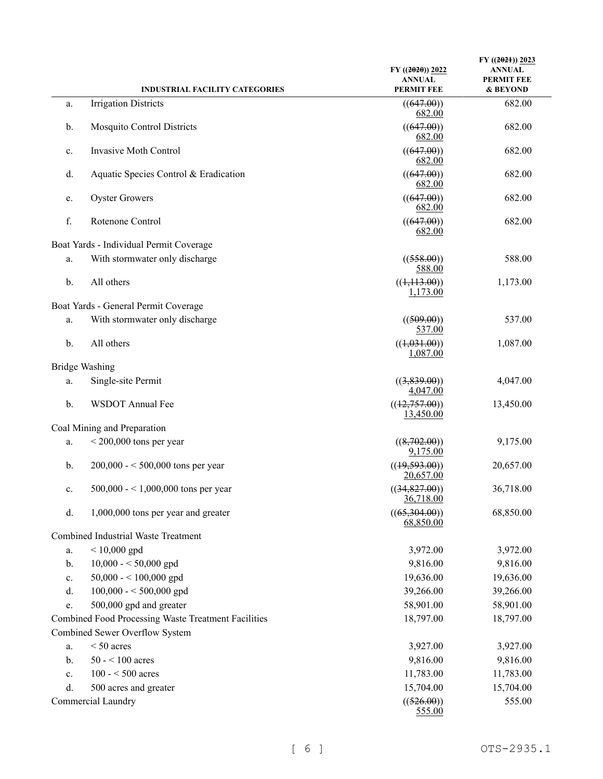|    | <b>INDUSTRIAL FACILITY CATEGORIES</b>               | $FY$ ((2020)) 2022<br><b>ANNUAL</b><br><b>PERMIT FEE</b> | FY $((2021))$ 2023<br><b>ANNUAL</b><br><b>PERMIT FEE</b><br>& BEYOND |
|----|-----------------------------------------------------|----------------------------------------------------------|----------------------------------------------------------------------|
|    | <b>Irrigation Districts</b>                         |                                                          | 682.00                                                               |
| a. |                                                     | ((647.00))<br>682.00                                     |                                                                      |
| b. | <b>Mosquito Control Districts</b>                   | ((647.00))<br>682.00                                     | 682.00                                                               |
| c. | Invasive Moth Control                               | ((647.00))<br>682.00                                     | 682.00                                                               |
| d. | Aquatic Species Control & Eradication               | ((647.00))<br>682.00                                     | 682.00                                                               |
| e. | <b>Oyster Growers</b>                               | ((647.00))<br>682.00                                     | 682.00                                                               |
| f. | Rotenone Control                                    | ((647.00))<br>682.00                                     | 682.00                                                               |
|    | Boat Yards - Individual Permit Coverage             |                                                          |                                                                      |
| a. | With stormwater only discharge                      | ((558.00))<br>588.00                                     | 588.00                                                               |
| b. | All others                                          | ((1,113.00))<br>1,173.00                                 | 1,173.00                                                             |
|    | Boat Yards - General Permit Coverage                |                                                          |                                                                      |
| a. | With stormwater only discharge                      | ((509.00))<br>537.00                                     | 537.00                                                               |
| b. | All others                                          | ((1,031.00))<br>1,087.00                                 | 1,087.00                                                             |
|    | <b>Bridge Washing</b>                               |                                                          |                                                                      |
| a. | Single-site Permit                                  | ((3,839.00))<br>4,047.00                                 | 4,047.00                                                             |
| b. | WSDOT Annual Fee                                    | ((12,757.00))<br>13,450.00                               | 13,450.00                                                            |
|    | Coal Mining and Preparation                         |                                                          |                                                                      |
| a. | $< 200,000$ tons per year                           | ((8,702.00))<br>9,175.00                                 | 9,175.00                                                             |
| b. | $200,000 - 500,000$ tons per year                   | ((19,593.00))<br>20,657.00                               | 20,657.00                                                            |
| c. | $500,000 - 1,000,000$ tons per year                 | ((34,827.00))<br>36,718.00                               | 36,718.00                                                            |
| d. | 1,000,000 tons per year and greater                 | ((65,304.00))<br>68,850.00                               | 68,850.00                                                            |
|    | <b>Combined Industrial Waste Treatment</b>          |                                                          |                                                                      |
| a. | $< 10,000$ gpd                                      | 3,972.00                                                 | 3,972.00                                                             |
| b. | $10,000 - 50,000$ gpd                               | 9,816.00                                                 | 9,816.00                                                             |
| c. | 50,000 - < 100,000 gpd                              | 19,636.00                                                | 19,636.00                                                            |
| d. | $100,000 - 500,000$ gpd                             | 39,266.00                                                | 39,266.00                                                            |
| e. | 500,000 gpd and greater                             | 58,901.00                                                | 58,901.00                                                            |
|    | Combined Food Processing Waste Treatment Facilities | 18,797.00                                                | 18,797.00                                                            |
|    | Combined Sewer Overflow System                      |                                                          |                                                                      |
| a. | $< 50$ acres                                        | 3,927.00                                                 | 3,927.00                                                             |
| b. | $50 - 100$ acres                                    | 9,816.00                                                 | 9,816.00                                                             |
| c. | $100 - 500$ acres                                   | 11,783.00                                                | 11,783.00                                                            |
| d. | 500 acres and greater                               | 15,704.00                                                | 15,704.00                                                            |
|    | Commercial Laundry                                  | ((526.00))<br>555.00                                     | 555.00                                                               |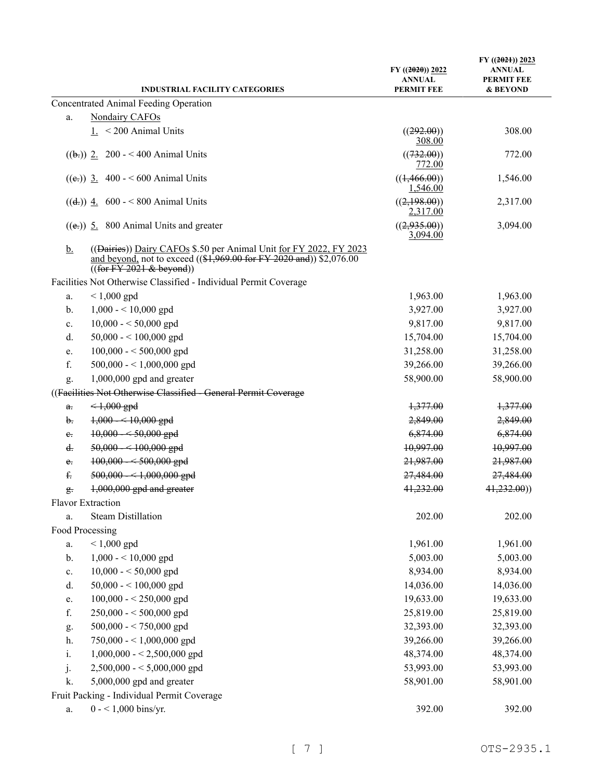| <b>INDUSTRIAL FACILITY CATEGORIES</b>                                                                                                                                                  | $FY$ ((2020)) 2022<br><b>ANNUAL</b><br><b>PERMIT FEE</b> | $FY$ ((2021)) 2023<br><b>ANNUAL</b><br>PERMIT FEE<br>& BEYOND |
|----------------------------------------------------------------------------------------------------------------------------------------------------------------------------------------|----------------------------------------------------------|---------------------------------------------------------------|
| Concentrated Animal Feeding Operation                                                                                                                                                  |                                                          |                                                               |
| Nondairy CAFOs<br>a.                                                                                                                                                                   |                                                          |                                                               |
| $1. < 200$ Animal Units                                                                                                                                                                | ((292.00))                                               | 308.00                                                        |
|                                                                                                                                                                                        | 308.00                                                   |                                                               |
| $((\frac{1}{2})$ 2. 200 - < 400 Animal Units                                                                                                                                           | ((732.00))<br>772.00                                     | 772.00                                                        |
| ((e,)) 3. 400 - < 600 Animal Units                                                                                                                                                     | ((1,466.00))<br>1,546.00                                 | 1,546.00                                                      |
| $((d))$ 4. 600 - < 800 Animal Units                                                                                                                                                    | ((2,198.00))<br>2,317.00                                 | 2,317.00                                                      |
| $((e))$ 5. 800 Animal Units and greater                                                                                                                                                | ((2,935.00))<br>3,094.00                                 | 3,094.00                                                      |
| <u>b.</u><br>((Dairies)) Dairy CAFOs \$.50 per Animal Unit for FY 2022, FY 2023<br>and beyond, not to exceed $((\$1,969.00$ for FY 2020 and)) $\$2,076.00$<br>((for FY 2021 & beyond)) |                                                          |                                                               |
| Facilities Not Otherwise Classified - Individual Permit Coverage                                                                                                                       |                                                          |                                                               |
| $< 1,000$ gpd<br>a.                                                                                                                                                                    | 1,963.00                                                 | 1,963.00                                                      |
| $1,000 - 10,000$ gpd<br>b.                                                                                                                                                             | 3,927.00                                                 | 3,927.00                                                      |
| $10,000 - 50,000$ gpd<br>c.                                                                                                                                                            | 9,817.00                                                 | 9,817.00                                                      |
| 50,000 - < 100,000 gpd<br>d.                                                                                                                                                           | 15,704.00                                                | 15,704.00                                                     |
| $100,000 - 500,000$ gpd<br>e.                                                                                                                                                          | 31,258.00                                                | 31,258.00                                                     |
| f.<br>500,000 - < 1,000,000 gpd                                                                                                                                                        | 39,266.00                                                | 39,266.00                                                     |
| $1,000,000$ gpd and greater<br>g.                                                                                                                                                      | 58,900.00                                                | 58,900.00                                                     |
| ((Facilities Not Otherwise Classified - General Permit Coverage                                                                                                                        |                                                          |                                                               |
| $\leq 1,000$ gpd<br>$a_{\overline{\cdot}}$                                                                                                                                             | 1,377.00                                                 | 1,377.00                                                      |
| $1,000 - 10,000$ gpd<br>b.                                                                                                                                                             | 2,849.00                                                 | 2,849.00                                                      |
| $10,000 - 50,000$ gpd<br>e.                                                                                                                                                            | 6,874.00                                                 | 6,874.00                                                      |
| $50,000 - 100,000$ gpd<br>d.                                                                                                                                                           | 10,997.00                                                | 10,997.00                                                     |
| $100,000 - 500,000$ gpd<br>$e_{i}$                                                                                                                                                     | 21,987.00                                                | 21,987.00                                                     |
| £.<br>$500,000 - 1,000,000$ gpd                                                                                                                                                        | 27,484.00                                                | 27,484.00                                                     |
| $1,000,000$ gpd and greater<br>$\frac{\alpha}{2}$ .                                                                                                                                    | 41,232.00                                                | 41,232.00)                                                    |
| Flavor Extraction                                                                                                                                                                      |                                                          |                                                               |
| <b>Steam Distillation</b><br>a.                                                                                                                                                        | 202.00                                                   | 202.00                                                        |
| Food Processing                                                                                                                                                                        |                                                          |                                                               |
| $< 1,000$ gpd<br>a.                                                                                                                                                                    | 1,961.00                                                 | 1,961.00                                                      |
| $1,000 - 10,000$ gpd<br>b.                                                                                                                                                             | 5,003.00                                                 | 5,003.00                                                      |
| $10,000 - 50,000$ gpd<br>c.                                                                                                                                                            | 8,934.00                                                 | 8,934.00                                                      |
| 50,000 - < $100,000$ gpd<br>d.                                                                                                                                                         | 14,036.00                                                | 14,036.00                                                     |
| $100,000 - 250,000$ gpd<br>e.                                                                                                                                                          | 19,633.00                                                | 19,633.00                                                     |
| f.<br>$250,000 - 500,000$ gpd                                                                                                                                                          | 25,819.00                                                | 25,819.00                                                     |
| $500,000 - 750,000$ gpd<br>g.                                                                                                                                                          | 32,393.00                                                | 32,393.00                                                     |
| 750,000 - < 1,000,000 gpd<br>h.                                                                                                                                                        | 39,266.00                                                | 39,266.00                                                     |
| i.<br>$1,000,000 - 2,500,000$ gpd                                                                                                                                                      | 48,374.00                                                | 48,374.00                                                     |
| j.<br>$2,500,000 - 5,000,000$ gpd                                                                                                                                                      | 53,993.00                                                | 53,993.00                                                     |
| 5,000,000 gpd and greater<br>k.                                                                                                                                                        | 58,901.00                                                | 58,901.00                                                     |
| Fruit Packing - Individual Permit Coverage                                                                                                                                             |                                                          |                                                               |
| $0 - 1,000$ bins/yr.<br>a.                                                                                                                                                             | 392.00                                                   | 392.00                                                        |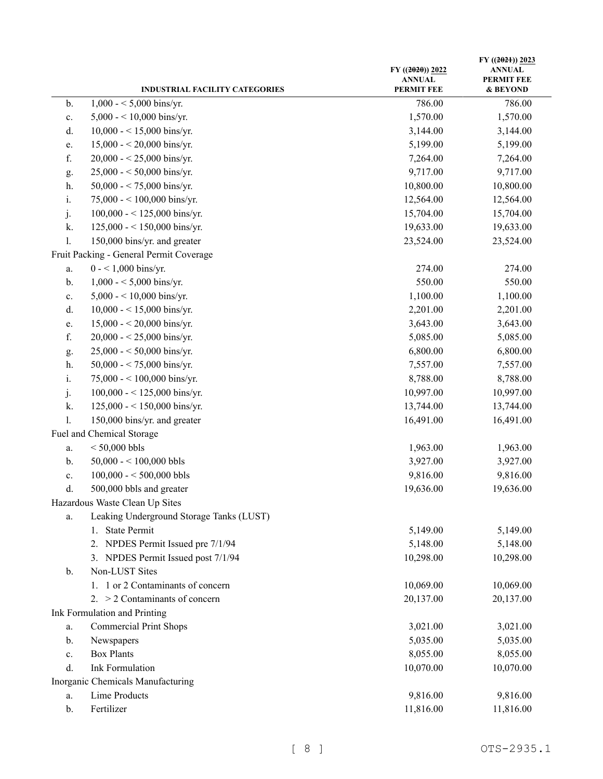|                | <b>INDUSTRIAL FACILITY CATEGORIES</b>    | $FY$ ((2020)) 2022<br><b>ANNUAL</b><br><b>PERMIT FEE</b> | FY ((2021)) 2023<br><b>ANNUAL</b><br><b>PERMIT FEE</b><br>& BEYOND |
|----------------|------------------------------------------|----------------------------------------------------------|--------------------------------------------------------------------|
| b.             | $1,000 - 5,000$ bins/yr.                 | 786.00                                                   | 786.00                                                             |
| $\mathbf{c}.$  | $5,000 - 10,000$ bins/yr.                | 1,570.00                                                 | 1,570.00                                                           |
| d.             | $10,000 - 15,000$ bins/yr.               | 3,144.00                                                 | 3,144.00                                                           |
| e.             | $15,000 - 20,000$ bins/yr.               | 5,199.00                                                 | 5,199.00                                                           |
| f.             | $20,000 - 25,000$ bins/yr.               | 7,264.00                                                 | 7,264.00                                                           |
| g.             | $25,000 - 50,000$ bins/yr.               | 9,717.00                                                 | 9,717.00                                                           |
| h.             | 50,000 - < 75,000 bins/yr.               | 10,800.00                                                | 10,800.00                                                          |
| i.             | 75,000 - < 100,000 bins/yr.              | 12,564.00                                                | 12,564.00                                                          |
| j.             | $100,000 - 125,000$ bins/yr.             | 15,704.00                                                | 15,704.00                                                          |
| k.             | $125,000 - 150,000$ bins/yr.             | 19,633.00                                                | 19,633.00                                                          |
| $\mathbf{l}$ . | 150,000 bins/yr. and greater             | 23,524.00                                                | 23,524.00                                                          |
|                | Fruit Packing - General Permit Coverage  |                                                          |                                                                    |
| a.             | $0 - 1,000$ bins/yr.                     | 274.00                                                   | 274.00                                                             |
| $\mathbf b$ .  | $1,000 - 5,000$ bins/yr.                 | 550.00                                                   | 550.00                                                             |
| c.             | $5,000 - 10,000$ bins/yr.                | 1,100.00                                                 | 1,100.00                                                           |
| d.             | 10,000 - < 15,000 bins/yr.               | 2,201.00                                                 | 2,201.00                                                           |
| e.             | $15,000 - 20,000$ bins/yr.               | 3,643.00                                                 | 3,643.00                                                           |
| ${\rm f.}$     | $20,000 - 25,000$ bins/yr.               | 5,085.00                                                 | 5,085.00                                                           |
| g.             | $25,000 - 50,000$ bins/yr.               | 6,800.00                                                 | 6,800.00                                                           |
| h.             | 50,000 - < 75,000 bins/yr.               | 7,557.00                                                 | 7,557.00                                                           |
| i.             | 75,000 - < 100,000 bins/yr.              | 8,788.00                                                 | 8,788.00                                                           |
| j.             | 100,000 - < 125,000 bins/yr.             | 10,997.00                                                | 10,997.00                                                          |
| k.             | 125,000 - < 150,000 bins/yr.             | 13,744.00                                                | 13,744.00                                                          |
| 1.             | 150,000 bins/yr. and greater             | 16,491.00                                                | 16,491.00                                                          |
|                | Fuel and Chemical Storage                |                                                          |                                                                    |
| a.             | $< 50,000$ bbls                          | 1,963.00                                                 | 1,963.00                                                           |
| b.             | $50,000 - 100,000$ bbls                  | 3,927.00                                                 | 3,927.00                                                           |
| c.             | $100,000 - 500,000$ bbls                 | 9,816.00                                                 | 9,816.00                                                           |
| d.             | 500,000 bbls and greater                 | 19,636.00                                                | 19,636.00                                                          |
|                | Hazardous Waste Clean Up Sites           |                                                          |                                                                    |
| a.             | Leaking Underground Storage Tanks (LUST) |                                                          |                                                                    |
|                | <b>State Permit</b><br>1.                | 5,149.00                                                 | 5,149.00                                                           |
|                | 2. NPDES Permit Issued pre 7/1/94        | 5,148.00                                                 | 5,148.00                                                           |
|                | 3. NPDES Permit Issued post 7/1/94       | 10,298.00                                                | 10,298.00                                                          |
| $\mathbf{b}$ . | Non-LUST Sites                           |                                                          |                                                                    |
|                | 1. 1 or 2 Contaminants of concern        | 10,069.00                                                | 10,069.00                                                          |
|                | 2. $>$ 2 Contaminants of concern         | 20,137.00                                                | 20,137.00                                                          |
|                | Ink Formulation and Printing             |                                                          |                                                                    |
| a.             | <b>Commercial Print Shops</b>            | 3,021.00                                                 | 3,021.00                                                           |
| b.             | Newspapers                               | 5,035.00                                                 | 5,035.00                                                           |
| c.             | <b>Box Plants</b>                        | 8,055.00                                                 | 8,055.00                                                           |
| d.             | <b>Ink Formulation</b>                   | 10,070.00                                                | 10,070.00                                                          |
|                | Inorganic Chemicals Manufacturing        |                                                          |                                                                    |
| a.             | <b>Lime Products</b>                     | 9,816.00                                                 | 9,816.00                                                           |
| b.             | Fertilizer                               | 11,816.00                                                | 11,816.00                                                          |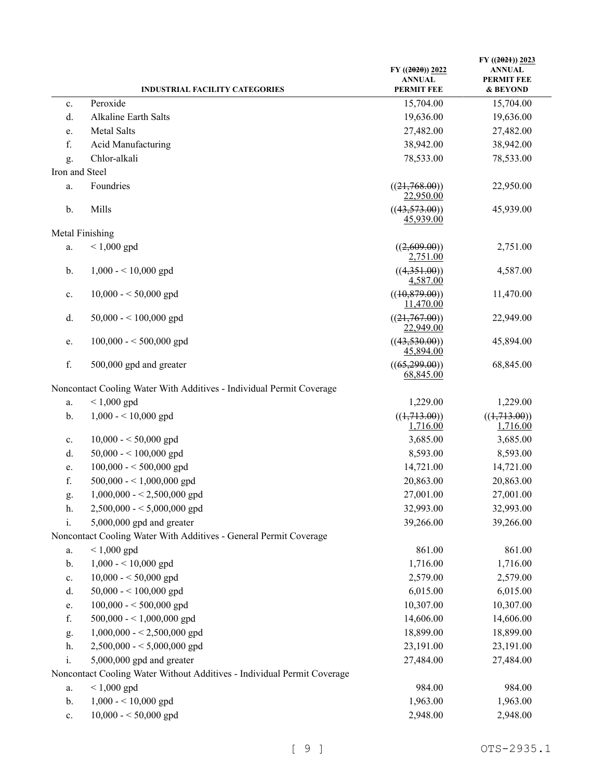|                | <b>INDUSTRIAL FACILITY CATEGORIES</b>                                   | $FY$ ((2020)) 2022<br><b>ANNUAL</b><br><b>PERMIT FEE</b> | $FY$ ((2021)) 2023<br><b>ANNUAL</b><br><b>PERMIT FEE</b><br>& BEYOND |
|----------------|-------------------------------------------------------------------------|----------------------------------------------------------|----------------------------------------------------------------------|
| c.             | Peroxide                                                                | 15,704.00                                                | 15,704.00                                                            |
| d.             | Alkaline Earth Salts                                                    | 19,636.00                                                | 19,636.00                                                            |
| e.             | Metal Salts                                                             | 27,482.00                                                | 27,482.00                                                            |
| f.             | Acid Manufacturing                                                      | 38,942.00                                                | 38,942.00                                                            |
| g.             | Chlor-alkali                                                            | 78,533.00                                                | 78,533.00                                                            |
| Iron and Steel |                                                                         |                                                          |                                                                      |
| a.             | Foundries                                                               | ((21,768.00))                                            | 22,950.00                                                            |
|                |                                                                         | 22,950.00                                                |                                                                      |
| b.             | Mills                                                                   | ((43,573.00))<br>45,939.00                               | 45,939.00                                                            |
|                | Metal Finishing                                                         |                                                          |                                                                      |
| a.             | $< 1,000$ gpd                                                           | ((2,609.00))<br>2,751.00                                 | 2,751.00                                                             |
| b.             | $1,000 - 10,000$ gpd                                                    | ((4,351.00))<br>4,587.00                                 | 4,587.00                                                             |
| c.             | $10,000 - 50,000$ gpd                                                   | ((10, 879.00))<br>11,470.00                              | 11,470.00                                                            |
| d.             | $50,000 - 100,000$ gpd                                                  | ((21,767.00))<br>22,949.00                               | 22,949.00                                                            |
| e.             | $100,000 - 500,000$ gpd                                                 | ((43,530.00))<br>45,894.00                               | 45,894.00                                                            |
| f.             | 500,000 gpd and greater                                                 | ((65,299.00))<br>68,845.00                               | 68,845.00                                                            |
|                | Noncontact Cooling Water With Additives - Individual Permit Coverage    |                                                          |                                                                      |
| a.             | $< 1,000$ gpd                                                           | 1,229.00                                                 | 1,229.00                                                             |
| b.             | $1,000 - 10,000$ gpd                                                    | ((1,713.00))                                             | ((1,713.00))                                                         |
|                |                                                                         | 1,716.00                                                 | 1,716.00                                                             |
| c.             | $10,000 - 50,000$ gpd                                                   | 3,685.00                                                 | 3,685.00                                                             |
| d.             | $50,000 - 100,000$ gpd                                                  | 8,593.00                                                 | 8,593.00                                                             |
| e.             | $100,000 - 500,000$ gpd                                                 | 14,721.00                                                | 14,721.00                                                            |
| f.             | $500,000 - 1,000,000$ gpd                                               | 20,863.00                                                | 20,863.00                                                            |
| g.             | $1,000,000 - 2,500,000$ gpd                                             | 27,001.00                                                | 27,001.00                                                            |
| h.             | $2,500,000 - 5,000,000$ gpd                                             | 32,993.00                                                | 32,993.00                                                            |
| i.             | $5,000,000$ gpd and greater                                             | 39,266.00                                                | 39,266.00                                                            |
|                | Noncontact Cooling Water With Additives - General Permit Coverage       |                                                          |                                                                      |
| a.             | $< 1,000$ gpd                                                           | 861.00                                                   | 861.00                                                               |
| b.             | $1,000 - 10,000$ gpd                                                    | 1,716.00                                                 | 1,716.00                                                             |
| c.             | $10,000 - 50,000$ gpd                                                   | 2,579.00                                                 | 2,579.00                                                             |
| d.             | $50,000 - 100,000$ gpd                                                  | 6,015.00                                                 | 6,015.00                                                             |
| e.             | $100,000 - 500,000$ gpd                                                 | 10,307.00                                                | 10,307.00                                                            |
| f.             | 500,000 - < 1,000,000 gpd                                               | 14,606.00                                                | 14,606.00                                                            |
| g.             | $1,000,000 - 2,500,000$ gpd                                             | 18,899.00                                                | 18,899.00                                                            |
| h.             | $2,500,000 - 5,000,000$ gpd                                             | 23,191.00                                                | 23,191.00                                                            |
| i.             | 5,000,000 gpd and greater                                               | 27,484.00                                                | 27,484.00                                                            |
|                | Noncontact Cooling Water Without Additives - Individual Permit Coverage |                                                          |                                                                      |
| a.             | $< 1,000$ gpd                                                           | 984.00                                                   | 984.00                                                               |
| b.             | $1,000 - 10,000$ gpd                                                    | 1,963.00                                                 | 1,963.00                                                             |
| $\mathbf{c}.$  | $10,000 - 50,000$ gpd                                                   | 2,948.00                                                 | 2,948.00                                                             |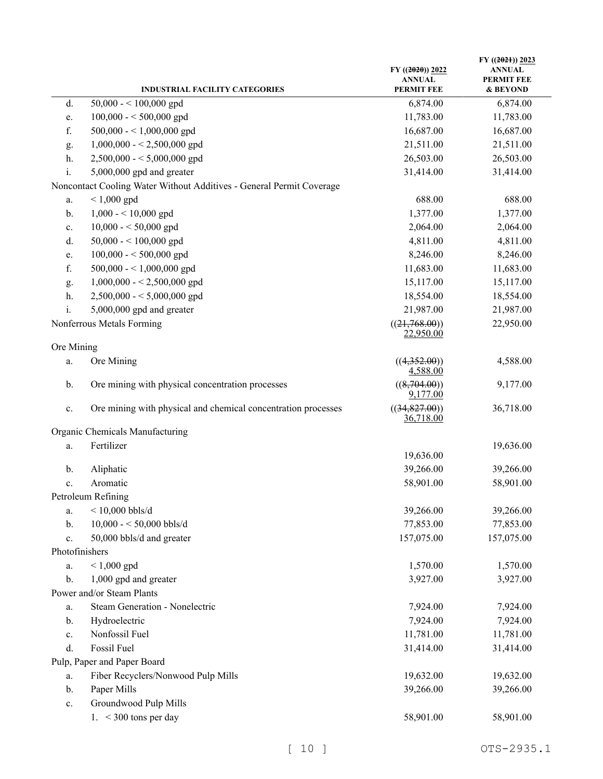|                | <b>INDUSTRIAL FACILITY CATEGORIES</b>                                | $FY$ ((2020)) 2022<br><b>ANNUAL</b><br><b>PERMIT FEE</b> | FY $((2021))$ 2023<br><b>ANNUAL</b><br><b>PERMIT FEE</b><br>& BEYOND |
|----------------|----------------------------------------------------------------------|----------------------------------------------------------|----------------------------------------------------------------------|
| d.             | $50,000 - 100,000$ gpd                                               | 6,874.00                                                 | 6,874.00                                                             |
| e.             | $100,000 - 500,000$ gpd                                              | 11,783.00                                                | 11,783.00                                                            |
| f.             | 500,000 - < 1,000,000 gpd                                            | 16,687.00                                                | 16,687.00                                                            |
| g.             | $1,000,000 - 2,500,000$ gpd                                          | 21,511.00                                                | 21,511.00                                                            |
| h.             | $2,500,000 - 5,000,000$ gpd                                          | 26,503.00                                                | 26,503.00                                                            |
| i.             | 5,000,000 gpd and greater                                            | 31,414.00                                                | 31,414.00                                                            |
|                | Noncontact Cooling Water Without Additives - General Permit Coverage |                                                          |                                                                      |
| a.             | $< 1,000$ gpd                                                        | 688.00                                                   | 688.00                                                               |
| b.             | $1,000 - 10,000$ gpd                                                 | 1,377.00                                                 | 1,377.00                                                             |
| c.             | $10,000 - 50,000$ gpd                                                | 2,064.00                                                 | 2,064.00                                                             |
| d.             | $50,000 - 100,000$ gpd                                               | 4,811.00                                                 | 4,811.00                                                             |
| e.             | $100,000 - 500,000$ gpd                                              | 8,246.00                                                 | 8,246.00                                                             |
| f.             | 500,000 - < 1,000,000 gpd                                            | 11,683.00                                                | 11,683.00                                                            |
| g.             | $1,000,000 - 2,500,000$ gpd                                          | 15,117.00                                                | 15,117.00                                                            |
| h.             | $2,500,000 - 5,000,000$ gpd                                          | 18,554.00                                                | 18,554.00                                                            |
| i.             | 5,000,000 gpd and greater                                            | 21,987.00                                                | 21,987.00                                                            |
|                | Nonferrous Metals Forming                                            | ((21,768.00))<br>22,950.00                               | 22,950.00                                                            |
| Ore Mining     |                                                                      |                                                          |                                                                      |
| a.             | Ore Mining                                                           | ((4,352.00))<br>4,588.00                                 | 4,588.00                                                             |
| b.             | Ore mining with physical concentration processes                     | ((8,704.00))<br>9,177.00                                 | 9,177.00                                                             |
| c.             | Ore mining with physical and chemical concentration processes        | ((34,827.00))<br><u>36,718.00</u>                        | 36,718.00                                                            |
|                | Organic Chemicals Manufacturing                                      |                                                          |                                                                      |
| a.             | Fertilizer                                                           |                                                          | 19,636.00                                                            |
|                |                                                                      | 19,636.00                                                |                                                                      |
| b.             | Aliphatic                                                            | 39,266.00                                                | 39,266.00                                                            |
| c.             | Aromatic                                                             | 58,901.00                                                | 58,901.00                                                            |
|                | Petroleum Refining                                                   |                                                          |                                                                      |
| a.             | $<$ 10,000 bbls/d                                                    | 39,266.00                                                | 39,266.00                                                            |
| b.             | 10,000 - < 50,000 bbls/d                                             | 77,853.00                                                | 77,853.00                                                            |
| c.             | 50,000 bbls/d and greater                                            | 157,075.00                                               | 157,075.00                                                           |
| Photofinishers |                                                                      |                                                          |                                                                      |
| a.             | $< 1,000$ gpd                                                        | 1,570.00                                                 | 1,570.00                                                             |
| b.             | 1,000 gpd and greater                                                | 3,927.00                                                 | 3,927.00                                                             |
|                | Power and/or Steam Plants                                            |                                                          |                                                                      |
| a.             | Steam Generation - Nonelectric                                       | 7,924.00                                                 | 7,924.00                                                             |
| b.             | Hydroelectric                                                        | 7,924.00                                                 | 7,924.00                                                             |
| c.             | Nonfossil Fuel                                                       | 11,781.00                                                | 11,781.00                                                            |
| d.             | Fossil Fuel                                                          | 31,414.00                                                | 31,414.00                                                            |
|                | Pulp, Paper and Paper Board                                          |                                                          |                                                                      |
| a.             | Fiber Recyclers/Nonwood Pulp Mills                                   | 19,632.00                                                | 19,632.00                                                            |
| b.             | Paper Mills                                                          | 39,266.00                                                | 39,266.00                                                            |
| c.             | Groundwood Pulp Mills                                                |                                                          |                                                                      |
|                | 1. < 300 tons per day                                                | 58,901.00                                                | 58,901.00                                                            |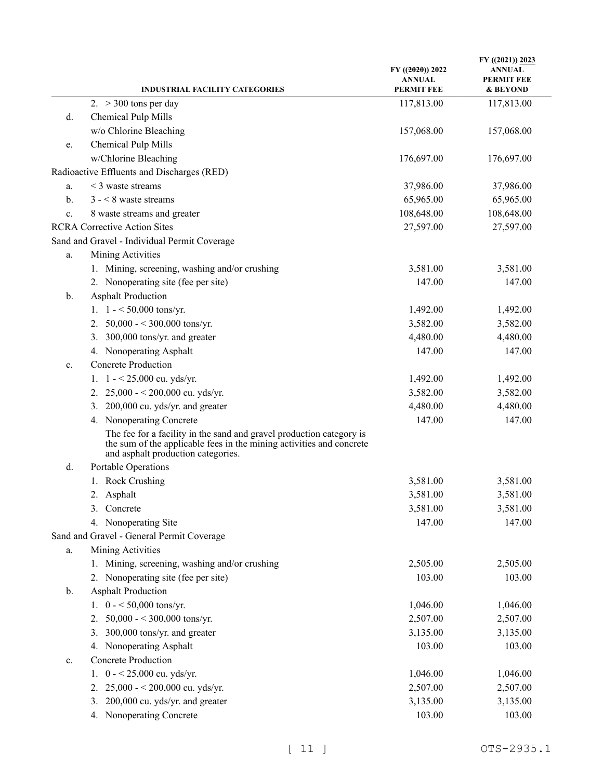| <b>INDUSTRIAL FACILITY CATEGORIES</b>                                                                                                                                              | $FY$ ((2020)) 2022<br><b>ANNUAL</b><br><b>PERMIT FEE</b> | FY $((2021))$ 2023<br><b>ANNUAL</b><br><b>PERMIT FEE</b><br>& BEYOND |
|------------------------------------------------------------------------------------------------------------------------------------------------------------------------------------|----------------------------------------------------------|----------------------------------------------------------------------|
| 2. $>$ 300 tons per day                                                                                                                                                            | 117,813.00                                               | 117,813.00                                                           |
| Chemical Pulp Mills<br>d.                                                                                                                                                          |                                                          |                                                                      |
| w/o Chlorine Bleaching                                                                                                                                                             | 157,068.00                                               | 157,068.00                                                           |
| Chemical Pulp Mills<br>e.                                                                                                                                                          |                                                          |                                                                      |
| w/Chlorine Bleaching                                                                                                                                                               | 176,697.00                                               | 176,697.00                                                           |
| Radioactive Effluents and Discharges (RED)                                                                                                                                         |                                                          |                                                                      |
| $<$ 3 waste streams<br>a.                                                                                                                                                          | 37,986.00                                                | 37,986.00                                                            |
| $3 - 8$ waste streams<br>b.                                                                                                                                                        | 65,965.00                                                | 65,965.00                                                            |
| 8 waste streams and greater<br>c.                                                                                                                                                  | 108,648.00                                               | 108,648.00                                                           |
| <b>RCRA Corrective Action Sites</b>                                                                                                                                                | 27,597.00                                                | 27,597.00                                                            |
| Sand and Gravel - Individual Permit Coverage                                                                                                                                       |                                                          |                                                                      |
| Mining Activities<br>a.                                                                                                                                                            |                                                          |                                                                      |
| 1. Mining, screening, washing and/or crushing                                                                                                                                      | 3,581.00                                                 | 3,581.00                                                             |
| 2. Nonoperating site (fee per site)                                                                                                                                                | 147.00                                                   | 147.00                                                               |
| <b>Asphalt Production</b><br>b.                                                                                                                                                    |                                                          |                                                                      |
| 1. $1 - 50,000$ tons/yr.                                                                                                                                                           | 1,492.00                                                 | 1,492.00                                                             |
| 50,000 - < 300,000 tons/yr.<br>2.                                                                                                                                                  | 3,582.00                                                 | 3,582.00                                                             |
| 300,000 tons/yr. and greater<br>3.                                                                                                                                                 | 4,480.00                                                 | 4,480.00                                                             |
| 4. Nonoperating Asphalt                                                                                                                                                            | 147.00                                                   | 147.00                                                               |
| <b>Concrete Production</b><br>c.                                                                                                                                                   |                                                          |                                                                      |
| $1 - 25,000$ cu. yds/yr.<br>1.                                                                                                                                                     | 1,492.00                                                 | 1,492.00                                                             |
| $25,000 - 200,000$ cu. yds/yr.<br>2.                                                                                                                                               | 3,582.00                                                 | 3,582.00                                                             |
| 200,000 cu. yds/yr. and greater<br>3.                                                                                                                                              | 4,480.00                                                 | 4,480.00                                                             |
| 4. Nonoperating Concrete                                                                                                                                                           | 147.00                                                   | 147.00                                                               |
| The fee for a facility in the sand and gravel production category is<br>the sum of the applicable fees in the mining activities and concrete<br>and asphalt production categories. |                                                          |                                                                      |
| Portable Operations<br>d.                                                                                                                                                          |                                                          |                                                                      |
| 1. Rock Crushing                                                                                                                                                                   | 3,581.00                                                 | 3,581.00                                                             |
| 2. Asphalt                                                                                                                                                                         | 3,581.00                                                 | 3,581.00                                                             |
| 3. Concrete                                                                                                                                                                        | 3,581.00                                                 | 3,581.00                                                             |
| 4. Nonoperating Site                                                                                                                                                               | 147.00                                                   | 147.00                                                               |
| Sand and Gravel - General Permit Coverage                                                                                                                                          |                                                          |                                                                      |
| Mining Activities<br>a.                                                                                                                                                            |                                                          |                                                                      |
| 1. Mining, screening, washing and/or crushing                                                                                                                                      | 2,505.00                                                 | 2,505.00                                                             |
| 2. Nonoperating site (fee per site)                                                                                                                                                | 103.00                                                   | 103.00                                                               |
| <b>Asphalt Production</b><br>b.                                                                                                                                                    |                                                          |                                                                      |
| 1. $0 - 50,000$ tons/yr.                                                                                                                                                           | 1,046.00                                                 | 1,046.00                                                             |
| 50,000 - < 300,000 tons/yr.<br>2.                                                                                                                                                  | 2,507.00                                                 | 2,507.00                                                             |
| 300,000 tons/yr. and greater<br>3.                                                                                                                                                 | 3,135.00                                                 | 3,135.00                                                             |
| 4. Nonoperating Asphalt                                                                                                                                                            | 103.00                                                   | 103.00                                                               |
| <b>Concrete Production</b><br>c.                                                                                                                                                   |                                                          |                                                                      |
| $0 - 25,000$ cu. yds/yr.<br>1.                                                                                                                                                     | 1,046.00                                                 | 1,046.00                                                             |
| 25,000 - < 200,000 cu. yds/yr.<br>2.                                                                                                                                               | 2,507.00                                                 | 2,507.00                                                             |
| 200,000 cu. yds/yr. and greater<br>3.                                                                                                                                              | 3,135.00                                                 | 3,135.00                                                             |
| 4. Nonoperating Concrete                                                                                                                                                           | 103.00                                                   | 103.00                                                               |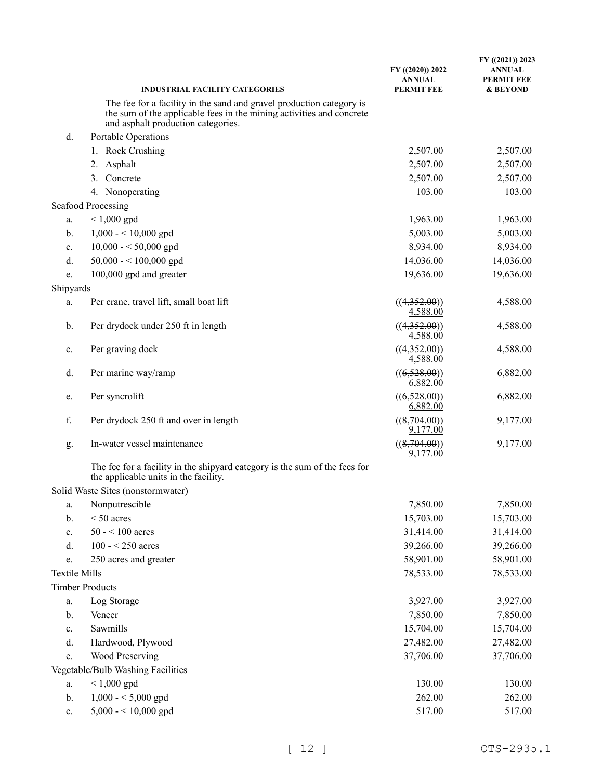|                      | <b>INDUSTRIAL FACILITY CATEGORIES</b>                                                                               | $FY$ ((2020)) 2022<br><b>ANNUAL</b><br><b>PERMIT FEE</b> | $FY$ ((2021)) 2023<br><b>ANNUAL</b><br><b>PERMIT FEE</b><br>& BEYOND |
|----------------------|---------------------------------------------------------------------------------------------------------------------|----------------------------------------------------------|----------------------------------------------------------------------|
|                      | The fee for a facility in the sand and gravel production category is                                                |                                                          |                                                                      |
|                      | the sum of the applicable fees in the mining activities and concrete<br>and asphalt production categories.          |                                                          |                                                                      |
| d.                   | Portable Operations                                                                                                 |                                                          |                                                                      |
|                      | 1. Rock Crushing                                                                                                    | 2,507.00                                                 | 2,507.00                                                             |
|                      | Asphalt<br>2.                                                                                                       | 2,507.00                                                 | 2,507.00                                                             |
|                      | Concrete<br>3.                                                                                                      | 2,507.00                                                 | 2,507.00                                                             |
|                      | 4. Nonoperating                                                                                                     | 103.00                                                   | 103.00                                                               |
|                      | Seafood Processing                                                                                                  |                                                          |                                                                      |
| a.                   | $< 1,000$ gpd                                                                                                       | 1,963.00                                                 | 1,963.00                                                             |
| b.                   | $1,000 - 10,000$ gpd                                                                                                | 5,003.00                                                 | 5,003.00                                                             |
| c.                   | $10,000 - 50,000$ gpd                                                                                               | 8,934.00                                                 | 8,934.00                                                             |
| d.                   | $50,000 - 100,000$ gpd                                                                                              | 14,036.00                                                | 14,036.00                                                            |
| e.                   | 100,000 gpd and greater                                                                                             | 19,636.00                                                | 19,636.00                                                            |
| Shipyards            |                                                                                                                     |                                                          |                                                                      |
| a.                   | Per crane, travel lift, small boat lift                                                                             | ((4,352.00))<br>4,588.00                                 | 4,588.00                                                             |
| b.                   | Per drydock under 250 ft in length                                                                                  | ((4,352.00))<br>4,588.00                                 | 4,588.00                                                             |
| c.                   | Per graving dock                                                                                                    | ((4,352.00))<br>4,588.00                                 | 4,588.00                                                             |
| d.                   | Per marine way/ramp                                                                                                 | ((6,528.00))<br>6,882.00                                 | 6,882.00                                                             |
| e.                   | Per syncrolift                                                                                                      | ((6,528.00))<br>6,882.00                                 | 6,882.00                                                             |
| f.                   | Per drydock 250 ft and over in length                                                                               | ((8,704.00))<br>9,177.00                                 | 9,177.00                                                             |
| g.                   | In-water vessel maintenance                                                                                         | ((8,704.00))<br>9,177.00                                 | 9,177.00                                                             |
|                      | The fee for a facility in the shipyard category is the sum of the fees for<br>the applicable units in the facility. |                                                          |                                                                      |
|                      | Solid Waste Sites (nonstormwater)                                                                                   |                                                          |                                                                      |
| a.                   | Nonputrescible                                                                                                      | 7,850.00                                                 | 7,850.00                                                             |
| $b$ .                | $< 50$ acres                                                                                                        | 15,703.00                                                | 15,703.00                                                            |
| c.                   | $50 - 100$ acres                                                                                                    | 31,414.00                                                | 31,414.00                                                            |
| d.                   | $100 - 250$ acres                                                                                                   | 39,266.00                                                | 39,266.00                                                            |
| e.                   | 250 acres and greater                                                                                               | 58,901.00                                                | 58,901.00                                                            |
| <b>Textile Mills</b> |                                                                                                                     | 78,533.00                                                | 78,533.00                                                            |
|                      | <b>Timber Products</b>                                                                                              |                                                          |                                                                      |
| a.                   | Log Storage                                                                                                         | 3,927.00                                                 | 3,927.00                                                             |
| b.                   | Veneer                                                                                                              | 7,850.00                                                 | 7,850.00                                                             |
| c.                   | Sawmills                                                                                                            | 15,704.00                                                | 15,704.00                                                            |
| d.                   | Hardwood, Plywood                                                                                                   | 27,482.00                                                | 27,482.00                                                            |
| e.                   | Wood Preserving                                                                                                     | 37,706.00                                                | 37,706.00                                                            |
|                      | Vegetable/Bulb Washing Facilities                                                                                   |                                                          |                                                                      |
| a.                   | $< 1,000$ gpd                                                                                                       | 130.00                                                   | 130.00                                                               |
| b.                   | $1,000 - 5,000$ gpd                                                                                                 | 262.00                                                   | 262.00                                                               |
| $\mathbf{c}.$        | $5,000 - 10,000$ gpd                                                                                                | 517.00                                                   | 517.00                                                               |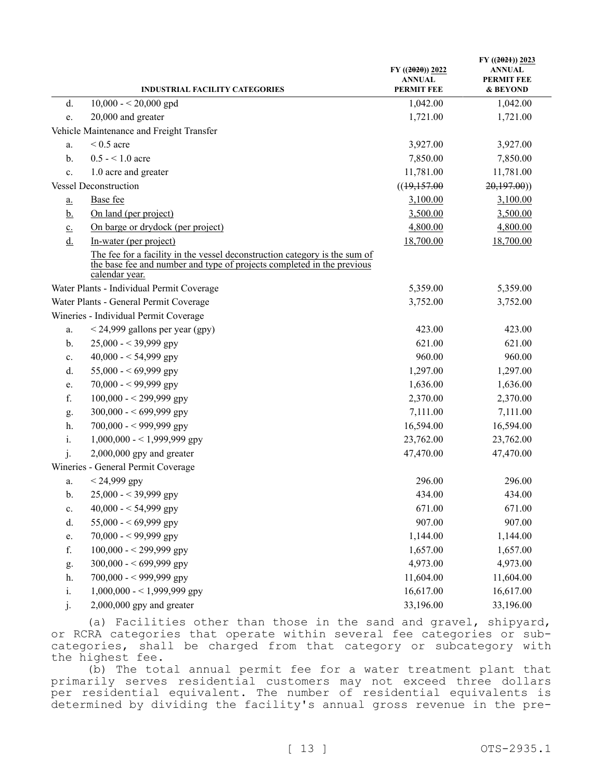|                            | <b>INDUSTRIAL FACILITY CATEGORIES</b>                                                                                                                                  | $FY$ ((2020)) 2022<br><b>ANNUAL</b><br><b>PERMIT FEE</b> | FY $((2021))$ 2023<br>ANNUAL<br><b>PERMIT FEE</b><br>& BEYOND |
|----------------------------|------------------------------------------------------------------------------------------------------------------------------------------------------------------------|----------------------------------------------------------|---------------------------------------------------------------|
| d.                         | $10,000 - 20,000$ gpd                                                                                                                                                  | 1,042.00                                                 | 1,042.00                                                      |
| e.                         | 20,000 and greater                                                                                                                                                     | 1,721.00                                                 | 1,721.00                                                      |
|                            | Vehicle Maintenance and Freight Transfer                                                                                                                               |                                                          |                                                               |
| a.                         | $< 0.5$ acre                                                                                                                                                           | 3,927.00                                                 | 3,927.00                                                      |
| b.                         | $0.5 - 1.0$ acre                                                                                                                                                       | 7,850.00                                                 | 7,850.00                                                      |
| c.                         | 1.0 acre and greater                                                                                                                                                   | 11,781.00                                                | 11,781.00                                                     |
|                            | <b>Vessel Deconstruction</b>                                                                                                                                           | ((19,157.00)                                             | 20,197.00)                                                    |
| $\underline{\mathbf{a}}$ . | Base fee                                                                                                                                                               | 3,100.00                                                 | 3,100.00                                                      |
| <u>b.</u>                  | On land (per project)                                                                                                                                                  | 3,500.00                                                 | 3,500.00                                                      |
| $\underline{c}$ .          | On barge or drydock (per project)                                                                                                                                      | 4,800.00                                                 | 4,800.00                                                      |
| $\underline{d}$ .          | In-water (per project)                                                                                                                                                 | 18,700.00                                                | 18,700.00                                                     |
|                            | The fee for a facility in the vessel deconstruction category is the sum of<br>the base fee and number and type of projects completed in the previous<br>calendar year. |                                                          |                                                               |
|                            | Water Plants - Individual Permit Coverage                                                                                                                              | 5,359.00                                                 | 5,359.00                                                      |
|                            | Water Plants - General Permit Coverage                                                                                                                                 | 3,752.00                                                 | 3,752.00                                                      |
|                            | Wineries - Individual Permit Coverage                                                                                                                                  |                                                          |                                                               |
| a.                         | $<$ 24,999 gallons per year (gpy)                                                                                                                                      | 423.00                                                   | 423.00                                                        |
| $\mathbf{b}$ .             | $25,000 - 39,999$ gpy                                                                                                                                                  | 621.00                                                   | 621.00                                                        |
| c.                         | 40,000 - < 54,999 gpy                                                                                                                                                  | 960.00                                                   | 960.00                                                        |
| d.                         | 55,000 - < 69,999 gpy                                                                                                                                                  | 1,297.00                                                 | 1,297.00                                                      |
| e.                         | $70,000 - 99,999$ gpy                                                                                                                                                  | 1,636.00                                                 | 1,636.00                                                      |
| f.                         | $100,000 - 299,999$ gpy                                                                                                                                                | 2,370.00                                                 | 2,370.00                                                      |
| g.                         | 300,000 - < 699,999 gpy                                                                                                                                                | 7,111.00                                                 | 7,111.00                                                      |
| h.                         | 700,000 - < 999,999 gpy                                                                                                                                                | 16,594.00                                                | 16,594.00                                                     |
| i.                         | $1,000,000 - 1,999,999$ gpy                                                                                                                                            | 23,762.00                                                | 23,762.00                                                     |
| j.                         | $2,000,000$ gpy and greater                                                                                                                                            | 47,470.00                                                | 47,470.00                                                     |
|                            | Wineries - General Permit Coverage                                                                                                                                     |                                                          |                                                               |
| a.                         | $< 24,999$ gpy                                                                                                                                                         | 296.00                                                   | 296.00                                                        |
| b.                         | $25,000 - 39,999$ gpy                                                                                                                                                  | 434.00                                                   | 434.00                                                        |
| c.                         | 40,000 - < 54,999 gpy                                                                                                                                                  | 671.00                                                   | 671.00                                                        |
| d.                         | 55,000 - < 69,999 gpy                                                                                                                                                  | 907.00                                                   | 907.00                                                        |
| e.                         | $70,000 - 99,999$ gpy                                                                                                                                                  | 1,144.00                                                 | 1,144.00                                                      |
| f.                         | $100,000 - 299,999$ gpy                                                                                                                                                | 1,657.00                                                 | 1,657.00                                                      |
| g.                         | 300,000 - < 699,999 gpy                                                                                                                                                | 4,973.00                                                 | 4,973.00                                                      |
| h.                         | 700,000 - < 999,999 gpy                                                                                                                                                | 11,604.00                                                | 11,604.00                                                     |
| i.                         | $1,000,000 - 1,999,999$ gpy                                                                                                                                            | 16,617.00                                                | 16,617.00                                                     |
| 1.                         | $2,000,000$ gpy and greater                                                                                                                                            | 33,196.00                                                | 33,196.00                                                     |

(a) Facilities other than those in the sand and gravel, shipyard, or RCRA categories that operate within several fee categories or subcategories, shall be charged from that category or subcategory with the highest fee.

(b) The total annual permit fee for a water treatment plant that primarily serves residential customers may not exceed three dollars per residential equivalent. The number of residential equivalents is determined by dividing the facility's annual gross revenue in the pre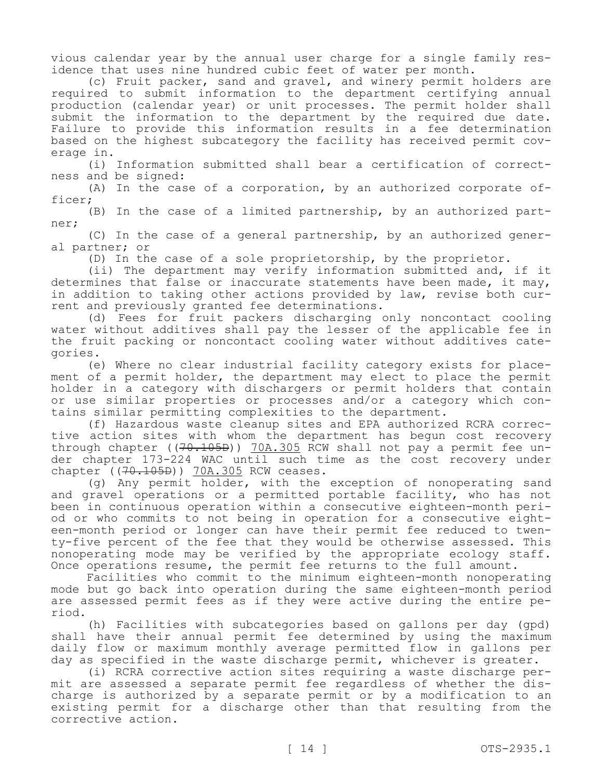vious calendar year by the annual user charge for a single family residence that uses nine hundred cubic feet of water per month.

(c) Fruit packer, sand and gravel, and winery permit holders are required to submit information to the department certifying annual production (calendar year) or unit processes. The permit holder shall submit the information to the department by the required due date. Failure to provide this information results in a fee determination based on the highest subcategory the facility has received permit coverage in.

(i) Information submitted shall bear a certification of correctness and be signed:

(A) In the case of a corporation, by an authorized corporate officer;

(B) In the case of a limited partnership, by an authorized partner;

(C) In the case of a general partnership, by an authorized general partner; or

(D) In the case of a sole proprietorship, by the proprietor.

(ii) The department may verify information submitted and, if it determines that false or inaccurate statements have been made, it may, in addition to taking other actions provided by law, revise both current and previously granted fee determinations.

(d) Fees for fruit packers discharging only noncontact cooling water without additives shall pay the lesser of the applicable fee in the fruit packing or noncontact cooling water without additives categories.

(e) Where no clear industrial facility category exists for placement of a permit holder, the department may elect to place the permit holder in a category with dischargers or permit holders that contain or use similar properties or processes and/or a category which contains similar permitting complexities to the department.

(f) Hazardous waste cleanup sites and EPA authorized RCRA corrective action sites with whom the department has begun cost recovery through chapter ((70.105B)) 70A.305 RCW shall not pay a permit fee under chapter 173-224 WAC until such time as the cost recovery under chapter ((70.105B)) 70A.305 RCW ceases.

(g) Any permit holder, with the exception of nonoperating sand and gravel operations or a permitted portable facility, who has not been in continuous operation within a consecutive eighteen-month period or who commits to not being in operation for a consecutive eighteen-month period or longer can have their permit fee reduced to twenty-five percent of the fee that they would be otherwise assessed. This nonoperating mode may be verified by the appropriate ecology staff. Once operations resume, the permit fee returns to the full amount.

Facilities who commit to the minimum eighteen-month nonoperating mode but go back into operation during the same eighteen-month period are assessed permit fees as if they were active during the entire period.

(h) Facilities with subcategories based on gallons per day (gpd) shall have their annual permit fee determined by using the maximum daily flow or maximum monthly average permitted flow in gallons per day as specified in the waste discharge permit, whichever is greater.

(i) RCRA corrective action sites requiring a waste discharge permit are assessed a separate permit fee regardless of whether the discharge is authorized by a separate permit or by a modification to an existing permit for a discharge other than that resulting from the corrective action.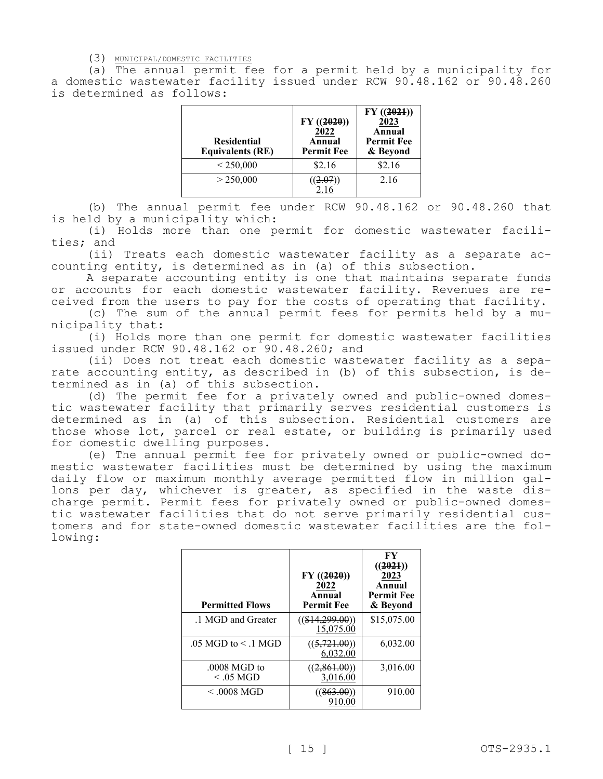(3) MUNICIPAL/DOMESTIC FACILITIES

(a) The annual permit fee for a permit held by a municipality for a domestic wastewater facility issued under RCW 90.48.162 or 90.48.260 is determined as follows:

| <b>Residential</b><br><b>Equivalents (RE)</b> | $FY$ ((2020))<br>2022<br>Annual<br><b>Permit Fee</b> | $FY$ ((2021))<br>2023<br>Annual<br><b>Permit Fee</b><br>& Beyond |
|-----------------------------------------------|------------------------------------------------------|------------------------------------------------------------------|
| < 250,000                                     | \$2.16                                               | \$2.16                                                           |
| > 250,000                                     |                                                      | 2.16                                                             |

(b) The annual permit fee under RCW 90.48.162 or 90.48.260 that is held by a municipality which:

(i) Holds more than one permit for domestic wastewater facilities; and

(ii) Treats each domestic wastewater facility as a separate accounting entity, is determined as in (a) of this subsection.

A separate accounting entity is one that maintains separate funds or accounts for each domestic wastewater facility. Revenues are received from the users to pay for the costs of operating that facility.

(c) The sum of the annual permit fees for permits held by a municipality that:

(i) Holds more than one permit for domestic wastewater facilities issued under RCW 90.48.162 or 90.48.260; and

(ii) Does not treat each domestic wastewater facility as a separate accounting entity, as described in (b) of this subsection, is determined as in (a) of this subsection.

(d) The permit fee for a privately owned and public-owned domestic wastewater facility that primarily serves residential customers is determined as in (a) of this subsection. Residential customers are those whose lot, parcel or real estate, or building is primarily used for domestic dwelling purposes.

(e) The annual permit fee for privately owned or public-owned domestic wastewater facilities must be determined by using the maximum daily flow or maximum monthly average permitted flow in million gallons per day, whichever is greater, as specified in the waste discharge permit. Permit fees for privately owned or public-owned domestic wastewater facilities that do not serve primarily residential customers and for state-owned domestic wastewater facilities are the following:

| <b>Permitted Flows</b>         | FY(2020)<br>2022<br>Annual<br><b>Permit Fee</b> | FY<br>((2021))<br>2023<br>Annual<br><b>Permit Fee</b><br>& Beyond |
|--------------------------------|-------------------------------------------------|-------------------------------------------------------------------|
| .1 MGD and Greater             | $((\$14,299.00))$<br>15,075.00                  | \$15,075.00                                                       |
| $.05$ MGD to $\leq$ 1 MGD      | ((5, 721.00))<br>6,032.00                       | 6,032.00                                                          |
| $.0008$ MGD to<br>$< 0.05$ MGD | ((2, 861.00))<br>3,016.00                       | 3,016.00                                                          |
| $<$ .0008 MGD                  | ((863.00))<br>910.00                            | 910.00                                                            |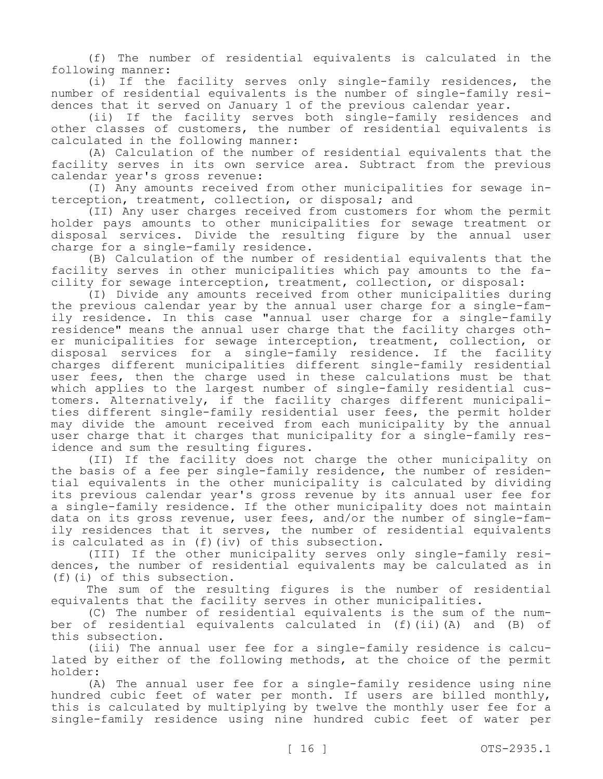(f) The number of residential equivalents is calculated in the following manner:

(i) If the facility serves only single-family residences, the number of residential equivalents is the number of single-family residences that it served on January 1 of the previous calendar year.

(ii) If the facility serves both single-family residences and other classes of customers, the number of residential equivalents is calculated in the following manner:

(A) Calculation of the number of residential equivalents that the facility serves in its own service area. Subtract from the previous calendar year's gross revenue:

(I) Any amounts received from other municipalities for sewage interception, treatment, collection, or disposal; and

(II) Any user charges received from customers for whom the permit holder pays amounts to other municipalities for sewage treatment or disposal services. Divide the resulting figure by the annual user charge for a single-family residence.

(B) Calculation of the number of residential equivalents that the facility serves in other municipalities which pay amounts to the facility for sewage interception, treatment, collection, or disposal:

(I) Divide any amounts received from other municipalities during the previous calendar year by the annual user charge for a single-family residence. In this case "annual user charge for a single-family residence" means the annual user charge that the facility charges other municipalities for sewage interception, treatment, collection, or disposal services for a single-family residence. If the facility charges different municipalities different single-family residential user fees, then the charge used in these calculations must be that which applies to the largest number of single-family residential customers. Alternatively, if the facility charges different municipalities different single-family residential user fees, the permit holder may divide the amount received from each municipality by the annual user charge that it charges that municipality for a single-family residence and sum the resulting figures.

(II) If the facility does not charge the other municipality on the basis of a fee per single-family residence, the number of residential equivalents in the other municipality is calculated by dividing its previous calendar year's gross revenue by its annual user fee for a single-family residence. If the other municipality does not maintain data on its gross revenue, user fees, and/or the number of single-family residences that it serves, the number of residential equivalents is calculated as in (f)(iv) of this subsection.

(III) If the other municipality serves only single-family residences, the number of residential equivalents may be calculated as in (f)(i) of this subsection.

The sum of the resulting figures is the number of residential equivalents that the facility serves in other municipalities.

(C) The number of residential equivalents is the sum of the number of residential equivalents calculated in (f)(ii)(A) and (B) of this subsection.

(iii) The annual user fee for a single-family residence is calculated by either of the following methods, at the choice of the permit holder:

(A) The annual user fee for a single-family residence using nine hundred cubic feet of water per month. If users are billed monthly, this is calculated by multiplying by twelve the monthly user fee for a single-family residence using nine hundred cubic feet of water per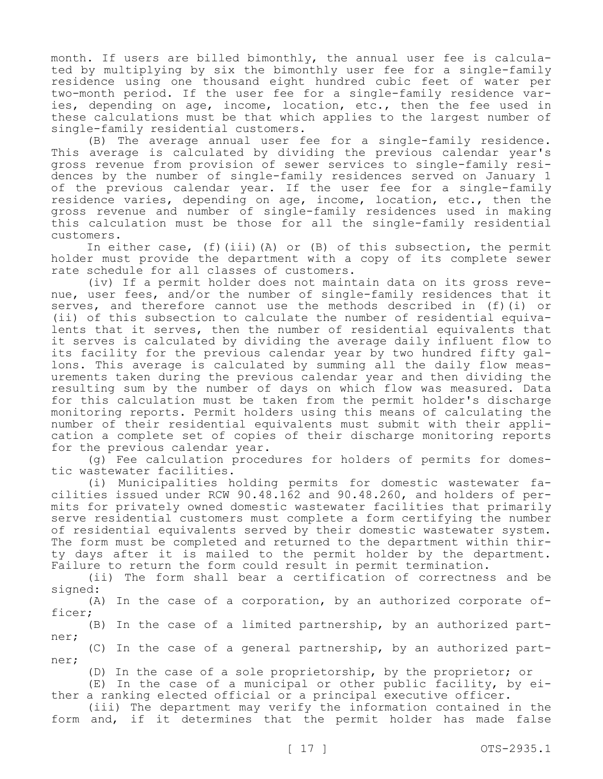month. If users are billed bimonthly, the annual user fee is calculated by multiplying by six the bimonthly user fee for a single-family residence using one thousand eight hundred cubic feet of water per two-month period. If the user fee for a single-family residence varies, depending on age, income, location, etc., then the fee used in these calculations must be that which applies to the largest number of single-family residential customers.

(B) The average annual user fee for a single-family residence. This average is calculated by dividing the previous calendar year's gross revenue from provision of sewer services to single-family residences by the number of single-family residences served on January 1 of the previous calendar year. If the user fee for a single-family residence varies, depending on age, income, location, etc., then the gross revenue and number of single-family residences used in making this calculation must be those for all the single-family residential customers.

In either case, (f)(iii)(A) or (B) of this subsection, the permit holder must provide the department with a copy of its complete sewer rate schedule for all classes of customers.

(iv) If a permit holder does not maintain data on its gross revenue, user fees, and/or the number of single-family residences that it serves, and therefore cannot use the methods described in (f)(i) or (ii) of this subsection to calculate the number of residential equivalents that it serves, then the number of residential equivalents that it serves is calculated by dividing the average daily influent flow to its facility for the previous calendar year by two hundred fifty gallons. This average is calculated by summing all the daily flow measurements taken during the previous calendar year and then dividing the resulting sum by the number of days on which flow was measured. Data for this calculation must be taken from the permit holder's discharge monitoring reports. Permit holders using this means of calculating the number of their residential equivalents must submit with their application a complete set of copies of their discharge monitoring reports for the previous calendar year.

(g) Fee calculation procedures for holders of permits for domestic wastewater facilities.

(i) Municipalities holding permits for domestic wastewater facilities issued under RCW 90.48.162 and 90.48.260, and holders of permits for privately owned domestic wastewater facilities that primarily serve residential customers must complete a form certifying the number of residential equivalents served by their domestic wastewater system. The form must be completed and returned to the department within thirty days after it is mailed to the permit holder by the department. Failure to return the form could result in permit termination.

(ii) The form shall bear a certification of correctness and be signed:

(A) In the case of a corporation, by an authorized corporate officer;

(B) In the case of a limited partnership, by an authorized partner;

(C) In the case of a general partnership, by an authorized partner;

(D) In the case of a sole proprietorship, by the proprietor; or

(E) In the case of a municipal or other public facility, by either a ranking elected official or a principal executive officer.

(iii) The department may verify the information contained in the form and, if it determines that the permit holder has made false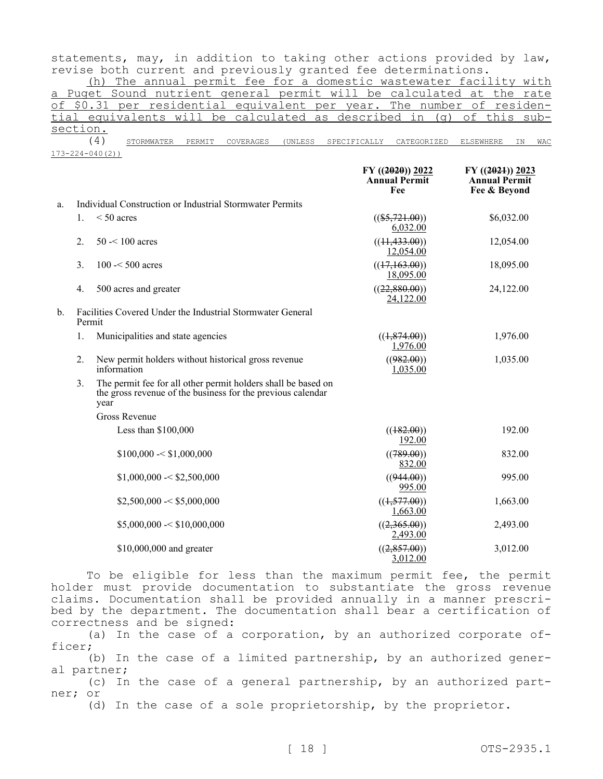statements, may, in addition to taking other actions provided by law, revise both current and previously granted fee determinations.

(h) The annual permit fee for a domestic wastewater facility with a Puget Sound nutrient general permit will be calculated at the rate of \$0.31 per residential equivalent per year. The number of residential equivalents will be calculated as described in (g) of this subsection.

(4) STORMWATER PERMIT COVERAGES (UNLESS SPECIFICALLY CATEGORIZED ELSEWHERE IN WAC 173-224-040(2))

|    |                                                                      |                                                                                                                                      | $FY$ ((2020)) 2022<br><b>Annual Permit</b><br>Fee | $FY$ ((2021)) 2023<br><b>Annual Permit</b><br>Fee & Beyond |
|----|----------------------------------------------------------------------|--------------------------------------------------------------------------------------------------------------------------------------|---------------------------------------------------|------------------------------------------------------------|
| a. |                                                                      | Individual Construction or Industrial Stormwater Permits                                                                             |                                                   |                                                            |
|    | $1_{\cdot}$                                                          | $\leq 50$ acres                                                                                                                      | $((\$5,721.00))$<br>6,032.00                      | \$6,032.00                                                 |
|    | 2.                                                                   | $50 - 100$ acres                                                                                                                     | ((11, 433.00))<br>12,054.00                       | 12,054.00                                                  |
|    | 3.                                                                   | $100 - 500$ acres                                                                                                                    | ((17,163.00))<br>18,095.00                        | 18,095.00                                                  |
|    | 4.                                                                   | 500 acres and greater                                                                                                                | ((22,880.00))<br>24,122.00                        | 24,122.00                                                  |
| b. | Facilities Covered Under the Industrial Stormwater General<br>Permit |                                                                                                                                      |                                                   |                                                            |
|    | 1.                                                                   | Municipalities and state agencies                                                                                                    | ((1, 874.00))<br>1,976.00                         | 1,976.00                                                   |
|    | 2.                                                                   | New permit holders without historical gross revenue<br>information                                                                   | ((982.00))<br>1,035.00                            | 1,035.00                                                   |
|    | 3.                                                                   | The permit fee for all other permit holders shall be based on<br>the gross revenue of the business for the previous calendar<br>year |                                                   |                                                            |
|    |                                                                      | <b>Gross Revenue</b>                                                                                                                 |                                                   |                                                            |
|    |                                                                      | Less than \$100,000                                                                                                                  | ((182.00))<br>192.00                              | 192.00                                                     |
|    |                                                                      | \$100,000 < \$1,000,000                                                                                                              | ((789.00))<br>832.00                              | 832.00                                                     |
|    |                                                                      | \$1,000,000 < \$2,500,000                                                                                                            | ((944.00))<br>995.00                              | 995.00                                                     |
|    |                                                                      | \$2,500,000 < \$5,000,000                                                                                                            | ((1, 577.00))<br>1,663.00                         | 1,663.00                                                   |
|    |                                                                      | \$5,000,000 < \$10,000,000                                                                                                           | ((2,365.00))<br>2,493.00                          | 2,493.00                                                   |
|    |                                                                      | \$10,000,000 and greater                                                                                                             | ((2, 857.00))<br>3,012.00                         | 3,012.00                                                   |

To be eligible for less than the maximum permit fee, the permit holder must provide documentation to substantiate the gross revenue claims. Documentation shall be provided annually in a manner prescribed by the department. The documentation shall bear a certification of correctness and be signed:

(a) In the case of a corporation, by an authorized corporate officer;

(b) In the case of a limited partnership, by an authorized general partner;

(c) In the case of a general partnership, by an authorized partner; or

(d) In the case of a sole proprietorship, by the proprietor.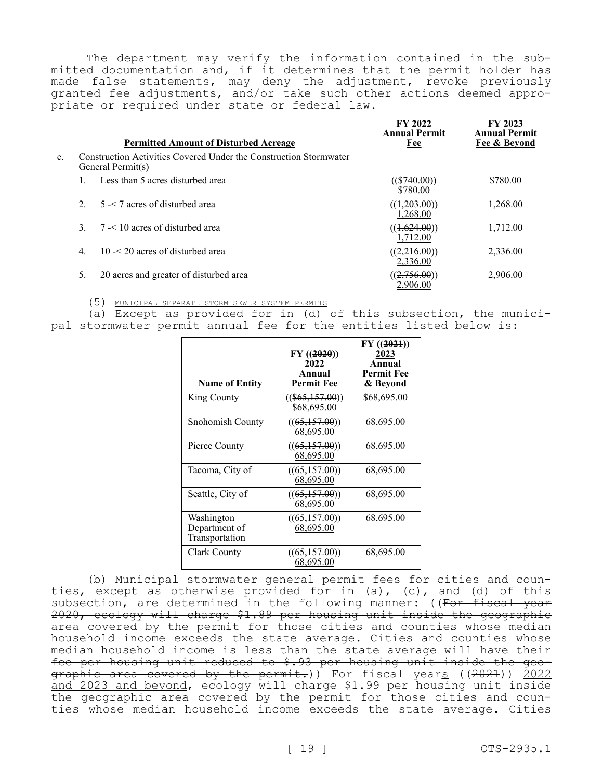The department may verify the information contained in the submitted documentation and, if it determines that the permit holder has made false statements, may deny the adjustment, revoke previously granted fee adjustments, and/or take such other actions deemed appropriate or required under state or federal law.

|    |                  | <b>Permitted Amount of Disturbed Acreage</b>                                           | FY 2022<br><b>Annual Permit</b><br>Fee | FY 2023<br><b>Annual Permit</b><br>Fee & Bevond |
|----|------------------|----------------------------------------------------------------------------------------|----------------------------------------|-------------------------------------------------|
| c. |                  | Construction Activities Covered Under the Construction Stormwater<br>General Permit(s) |                                        |                                                 |
|    |                  | Less than 5 acres disturbed area                                                       | $((\$740.00))$<br>\$780.00             | \$780.00                                        |
|    | $\mathcal{D}$    | $5 < 7$ acres of disturbed area                                                        | ((1,203.00))<br>1.268.00               | 1,268.00                                        |
|    |                  | $7 < 10$ acres of disturbed area                                                       | ((1,624.00))<br>1.712.00               | 1,712.00                                        |
|    | $\overline{4}$ . | $10 < 20$ acres of disturbed area                                                      | ((2,216.00))<br>2,336.00               | 2,336.00                                        |
|    | 5.               | 20 acres and greater of disturbed area                                                 | ((2,756.00))<br>2.906.00               | 2,906.00                                        |

(5) MUNICIPAL SEPARATE STORM SEWER SYSTEM PERMITS

(a) Except as provided for in (d) of this subsection, the municipal stormwater permit annual fee for the entities listed below is:

| <b>Name of Entity</b>                         | $FY$ ((2020))<br>2022<br>Annual<br><b>Permit Fee</b> | FY(2021)<br>2023<br>Annual<br><b>Permit Fee</b><br>& Beyond |
|-----------------------------------------------|------------------------------------------------------|-------------------------------------------------------------|
| King County                                   | $((\$65,157.00))$<br>\$68,695.00                     | \$68,695.00                                                 |
| Snohomish County                              | ((65,157.00))<br>68,695.00                           | 68,695.00                                                   |
| Pierce County                                 | ((65,157.00))<br>68,695.00                           | 68,695.00                                                   |
| Tacoma, City of                               | ((65,157.00))<br>68,695.00                           | 68,695.00                                                   |
| Seattle, City of                              | ((65,157.00))<br>68,695.00                           | 68,695.00                                                   |
| Washington<br>Department of<br>Transportation | ((65,157.00))<br>68,695.00                           | 68,695.00                                                   |
| Clark County                                  | ((65,157.00))<br>68,695.00                           | 68,695.00                                                   |

(b) Municipal stormwater general permit fees for cities and counties, except as otherwise provided for in (a), (c), and (d) of this subsection, are determined in the following manner: ((For fiscal year 2020, ecology will charge \$1.89 per housing unit inside the geographic area covered by the permit for those cities and counties whose median household income exceeds the state average. Cities and counties whose median household income is less than the state average will have their fee per housing unit reduced to \$.93 per housing unit inside the geographic area covered by the permit.)) For fiscal years ((2021)) 2022 and 2023 and beyond, ecology will charge \$1.99 per housing unit inside the geographic area covered by the permit for those cities and counties whose median household income exceeds the state average. Cities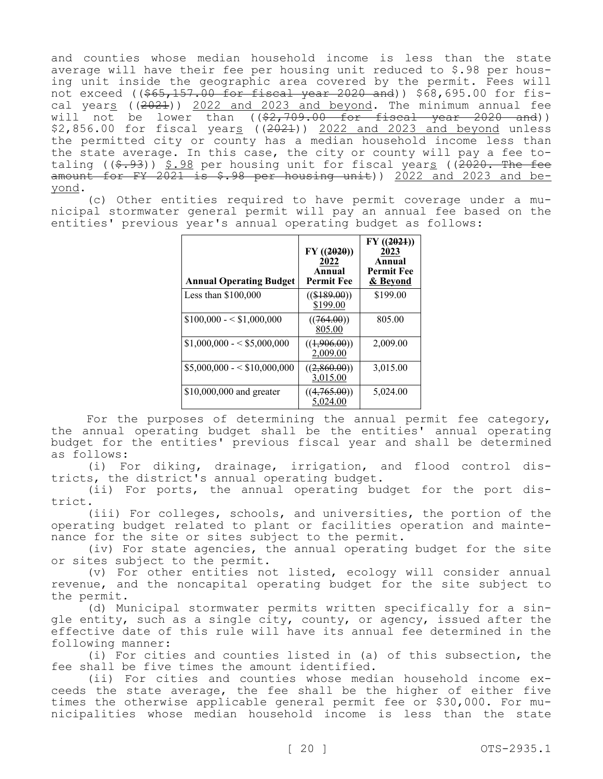and counties whose median household income is less than the state average will have their fee per housing unit reduced to \$.98 per housing unit inside the geographic area covered by the permit. Fees will not exceed ( $(\frac{1565}{157.00}$  for fiscal year 2020 and)) \$68,695.00 for fiscal years  $(2021)$ ) 2022 and 2023 and beyond. The minimum annual fee will not be lower than  $($   $(\frac{2}{7}, \frac{709}{00} \cdot 00 - \frac{6}{100})$  for fiscal year 2020 and))  $$2,856.00$  for fiscal years (( $2021$ ))  $2022$  and  $2023$  and beyond unless the permitted city or county has a median household income less than the state average. In this case, the city or county will pay a fee totaling  $((\$$ .  $93)$ )  $§$ .  $98$  per housing unit for fiscal years ((2020. The fee amount for FY 2021 is  $$.98$  per housing unit)) 2022 and 2023 and beyond.

(c) Other entities required to have permit coverage under a municipal stormwater general permit will pay an annual fee based on the entities' previous year's annual operating budget as follows:

| <b>Annual Operating Budget</b> | FY(2020)<br>2022<br>Annual<br><b>Permit Fee</b> | $FY$ ((2021))<br>2023<br>Annual<br><b>Permit Fee</b><br>& Bevond |
|--------------------------------|-------------------------------------------------|------------------------------------------------------------------|
| Less than $$100,000$           | $((\$189.00))$<br>\$199.00                      | \$199.00                                                         |
| $$100,000 - $1,000,000$        | ((764.00))<br>805.00                            | 805.00                                                           |
| $$1,000,000 - $5,000,000$      | ((1,906.00))<br>2,009.00                        | 2,009.00                                                         |
| $$5,000,000 - $10,000,000$     | ((2,860.00))<br>3,015.00                        | 3,015.00                                                         |
| \$10,000,000 and greater       | ((4,765.00))<br>5.024.00                        | 5,024.00                                                         |

For the purposes of determining the annual permit fee category, the annual operating budget shall be the entities' annual operating budget for the entities' previous fiscal year and shall be determined as follows:

(i) For diking, drainage, irrigation, and flood control districts, the district's annual operating budget.

(ii) For ports, the annual operating budget for the port district.

(iii) For colleges, schools, and universities, the portion of the operating budget related to plant or facilities operation and maintenance for the site or sites subject to the permit.

(iv) For state agencies, the annual operating budget for the site or sites subject to the permit.

(v) For other entities not listed, ecology will consider annual revenue, and the noncapital operating budget for the site subject to the permit.

(d) Municipal stormwater permits written specifically for a single entity, such as a single city, county, or agency, issued after the effective date of this rule will have its annual fee determined in the following manner:

(i) For cities and counties listed in (a) of this subsection, the fee shall be five times the amount identified.

(ii) For cities and counties whose median household income exceeds the state average, the fee shall be the higher of either five times the otherwise applicable general permit fee or \$30,000. For municipalities whose median household income is less than the state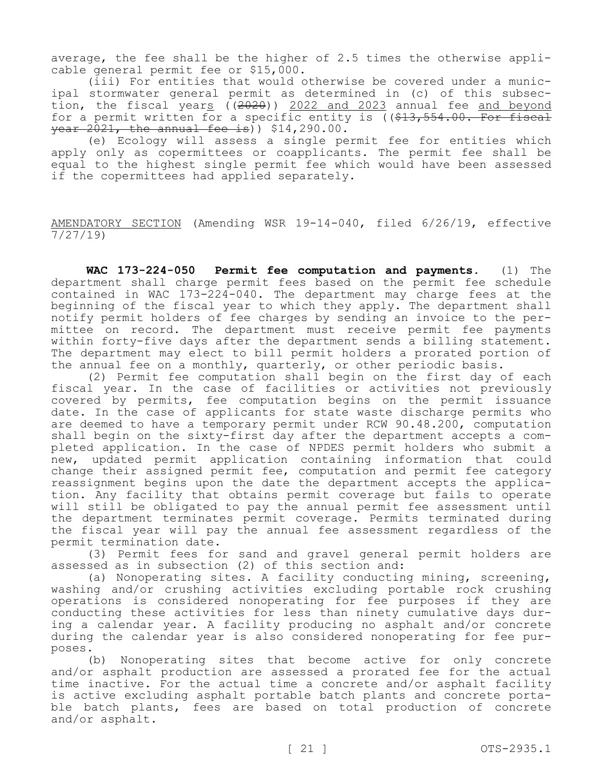average, the fee shall be the higher of 2.5 times the otherwise applicable general permit fee or \$15,000.

(iii) For entities that would otherwise be covered under a municipal stormwater general permit as determined in (c) of this subsection, the fiscal years  $(2020)$ ) 2022 and 2023 annual fee and beyond for a permit written for a specific entity is  $($   $\frac{13}{7}$   $\frac{554}{100}$ . For fiscal  $\frac{1}{2021}$ , the annual fee is) \$14,290.00.

(e) Ecology will assess a single permit fee for entities which apply only as copermittees or coapplicants. The permit fee shall be equal to the highest single permit fee which would have been assessed if the copermittees had applied separately.

AMENDATORY SECTION (Amending WSR 19-14-040, filed 6/26/19, effective  $\frac{7}{27/19}$ 

**WAC 173-224-050 Permit fee computation and payments.** (1) The department shall charge permit fees based on the permit fee schedule contained in WAC 173-224-040. The department may charge fees at the beginning of the fiscal year to which they apply. The department shall notify permit holders of fee charges by sending an invoice to the permittee on record. The department must receive permit fee payments within forty-five days after the department sends a billing statement. The department may elect to bill permit holders a prorated portion of the annual fee on a monthly, quarterly, or other periodic basis.

(2) Permit fee computation shall begin on the first day of each fiscal year. In the case of facilities or activities not previously covered by permits, fee computation begins on the permit issuance date. In the case of applicants for state waste discharge permits who are deemed to have a temporary permit under RCW 90.48.200, computation shall begin on the sixty-first day after the department accepts a completed application. In the case of NPDES permit holders who submit a new, updated permit application containing information that could change their assigned permit fee, computation and permit fee category reassignment begins upon the date the department accepts the application. Any facility that obtains permit coverage but fails to operate will still be obligated to pay the annual permit fee assessment until the department terminates permit coverage. Permits terminated during the fiscal year will pay the annual fee assessment regardless of the permit termination date.

(3) Permit fees for sand and gravel general permit holders are assessed as in subsection (2) of this section and:

(a) Nonoperating sites. A facility conducting mining, screening, washing and/or crushing activities excluding portable rock crushing operations is considered nonoperating for fee purposes if they are conducting these activities for less than ninety cumulative days during a calendar year. A facility producing no asphalt and/or concrete during the calendar year is also considered nonoperating for fee purposes.

(b) Nonoperating sites that become active for only concrete and/or asphalt production are assessed a prorated fee for the actual time inactive. For the actual time a concrete and/or asphalt facility is active excluding asphalt portable batch plants and concrete portable batch plants, fees are based on total production of concrete and/or asphalt.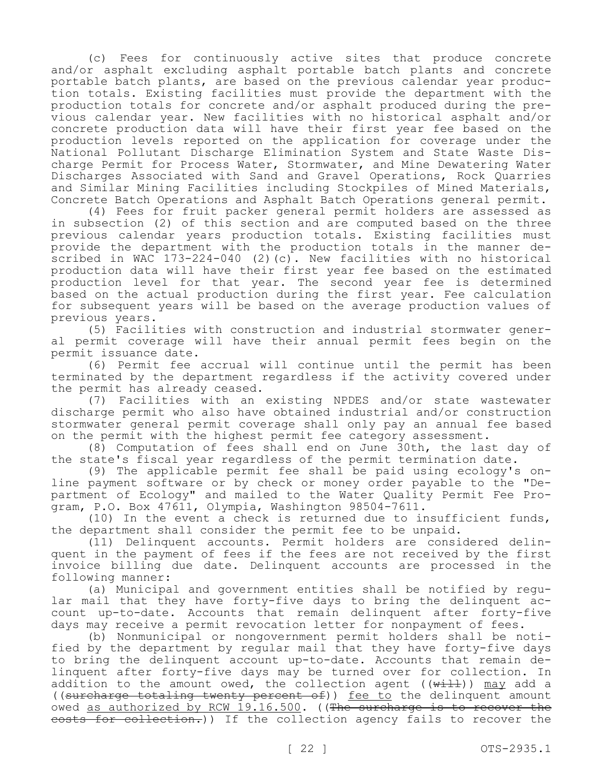(c) Fees for continuously active sites that produce concrete and/or asphalt excluding asphalt portable batch plants and concrete portable batch plants, are based on the previous calendar year production totals. Existing facilities must provide the department with the production totals for concrete and/or asphalt produced during the previous calendar year. New facilities with no historical asphalt and/or concrete production data will have their first year fee based on the production levels reported on the application for coverage under the National Pollutant Discharge Elimination System and State Waste Discharge Permit for Process Water, Stormwater, and Mine Dewatering Water Discharges Associated with Sand and Gravel Operations, Rock Quarries and Similar Mining Facilities including Stockpiles of Mined Materials, Concrete Batch Operations and Asphalt Batch Operations general permit.

(4) Fees for fruit packer general permit holders are assessed as in subsection (2) of this section and are computed based on the three previous calendar years production totals. Existing facilities must provide the department with the production totals in the manner described in WAC 173-224-040 (2)(c). New facilities with no historical production data will have their first year fee based on the estimated production level for that year. The second year fee is determined based on the actual production during the first year. Fee calculation for subsequent years will be based on the average production values of previous years.

(5) Facilities with construction and industrial stormwater general permit coverage will have their annual permit fees begin on the permit issuance date.

(6) Permit fee accrual will continue until the permit has been terminated by the department regardless if the activity covered under the permit has already ceased.

(7) Facilities with an existing NPDES and/or state wastewater discharge permit who also have obtained industrial and/or construction stormwater general permit coverage shall only pay an annual fee based on the permit with the highest permit fee category assessment.

(8) Computation of fees shall end on June 30th, the last day of the state's fiscal year regardless of the permit termination date.

(9) The applicable permit fee shall be paid using ecology's online payment software or by check or money order payable to the "Department of Ecology" and mailed to the Water Quality Permit Fee Program, P.O. Box 47611, Olympia, Washington 98504-7611.

(10) In the event a check is returned due to insufficient funds, the department shall consider the permit fee to be unpaid.

(11) Delinquent accounts. Permit holders are considered delinquent in the payment of fees if the fees are not received by the first invoice billing due date. Delinquent accounts are processed in the following manner:

(a) Municipal and government entities shall be notified by regular mail that they have forty-five days to bring the delinquent account up-to-date. Accounts that remain delinquent after forty-five days may receive a permit revocation letter for nonpayment of fees.

(b) Nonmunicipal or nongovernment permit holders shall be notified by the department by regular mail that they have forty-five days to bring the delinquent account up-to-date. Accounts that remain delinquent after forty-five days may be turned over for collection. In addition to the amount owed, the collection agent  $((\overline{w}\text{+}\text{--}1\text{+}))$  may add a ((surcharge totaling twenty percent of)) fee to the delinquent amount owed as authorized by RCW 19.16.500. ((The surcharge is to recover the eosts for collection.)) If the collection agency fails to recover the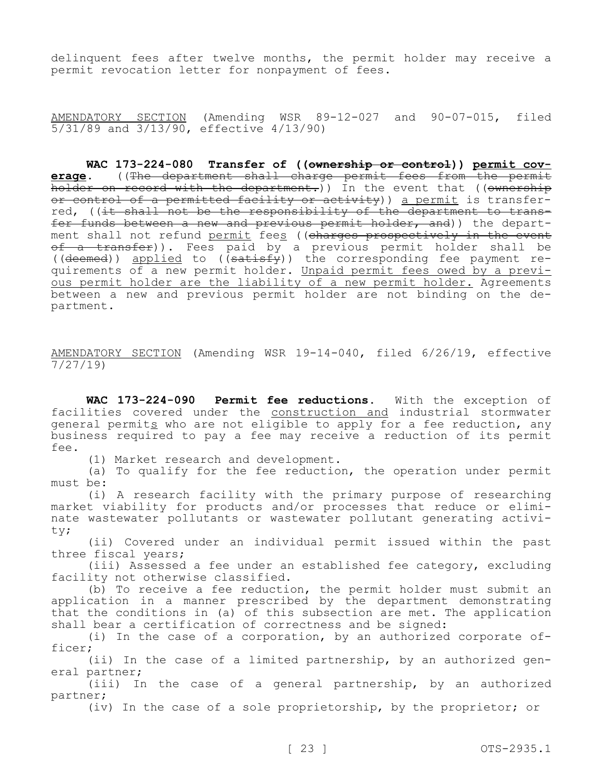delinquent fees after twelve months, the permit holder may receive a permit revocation letter for nonpayment of fees.

AMENDATORY SECTION (Amending WSR 89-12-027 and 90-07-015, filed 5/31/89 and 3/13/90, effective 4/13/90)

**WAC 173-224-080 Transfer of ((ownership or control)) permit coverage.** ((The department shall charge permit fees from the permit holder on record with the department.)) In the event that ((ownership or control of a permitted facility or activity)) a permit is transferred, ((it shall not be the responsibility of the department to transfer funds between a new and previous permit holder, and)) the department shall not refund permit fees ((charges prospectively in the event of a transfer)). Fees paid by a previous permit holder shall be ((deemed)) applied to ((satisfy)) the corresponding fee payment requirements of a new permit holder. Unpaid permit fees owed by a previous permit holder are the liability of a new permit holder. Agreements between a new and previous permit holder are not binding on the department.

AMENDATORY SECTION (Amending WSR 19-14-040, filed 6/26/19, effective 7/27/19)

**WAC 173-224-090 Permit fee reductions.** With the exception of facilities covered under the construction and industrial stormwater general permits who are not eligible to apply for a fee reduction, any business required to pay a fee may receive a reduction of its permit fee.

(1) Market research and development.

(a) To qualify for the fee reduction, the operation under permit must be:

(i) A research facility with the primary purpose of researching market viability for products and/or processes that reduce or eliminate wastewater pollutants or wastewater pollutant generating activity;

(ii) Covered under an individual permit issued within the past three fiscal years;

(iii) Assessed a fee under an established fee category, excluding facility not otherwise classified.

(b) To receive a fee reduction, the permit holder must submit an application in a manner prescribed by the department demonstrating that the conditions in (a) of this subsection are met. The application shall bear a certification of correctness and be signed:

(i) In the case of a corporation, by an authorized corporate officer;

(ii) In the case of a limited partnership, by an authorized general partner;

(iii) In the case of a general partnership, by an authorized partner;

(iv) In the case of a sole proprietorship, by the proprietor; or